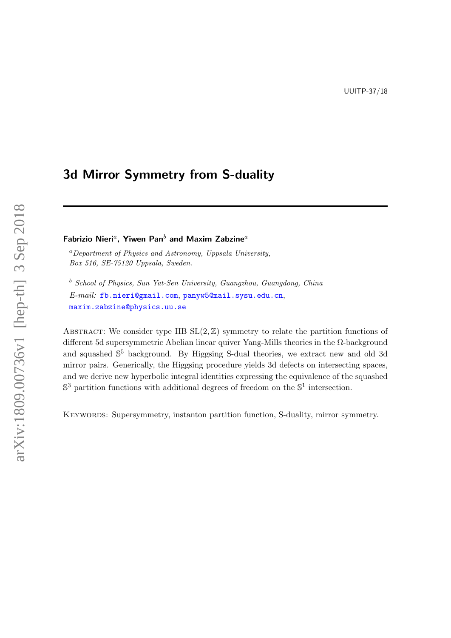# <span id="page-0-0"></span>3d Mirror Symmetry from S-duality

Fabrizio Nieri $^a$ , Yiwen Pan $^b$  and Maxim Zabzine $^a$ 

 ${}^a$ Department of Physics and Astronomy, Uppsala University, Box 516, SE-75120 Uppsala, Sweden.

<sup>b</sup> School of Physics, Sun Yat-Sen University, Guangzhou, Guangdong, China E-mail: [fb.nieri@gmail.com](mailto:fb.nieri@gmail.com), [panyw5@mail.sysu.edu.cn](mailto:panyw5@mail.sysu.edu.cn), [maxim.zabzine@physics.uu.se](mailto:maxim.zabzine@physics.uu.se)

ABSTRACT: We consider type IIB  $SL(2, \mathbb{Z})$  symmetry to relate the partition functions of different 5d supersymmetric Abelian linear quiver Yang-Mills theories in the Ω-background and squashed S <sup>5</sup> background. By Higgsing S-dual theories, we extract new and old 3d mirror pairs. Generically, the Higgsing procedure yields 3d defects on intersecting spaces, and we derive new hyperbolic integral identities expressing the equivalence of the squashed  $\mathbb{S}^3$  partition functions with additional degrees of freedom on the  $\mathbb{S}^1$  intersection.

KEYWORDS: Supersymmetry, instanton partition function, S-duality, mirror symmetry.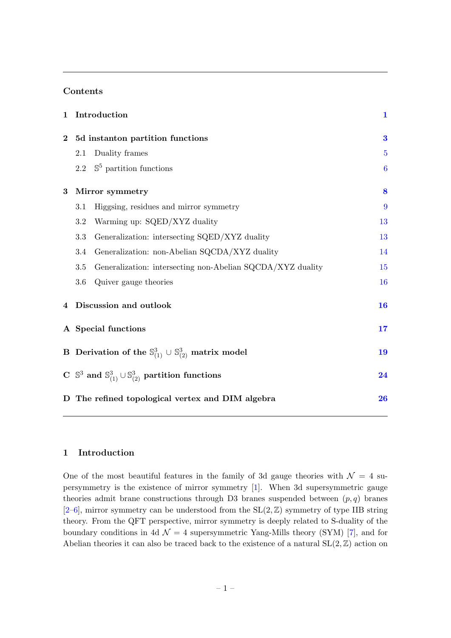### Contents

| 1        | Introduction                                                                          |                                                                                      | $\mathbf{1}$     |
|----------|---------------------------------------------------------------------------------------|--------------------------------------------------------------------------------------|------------------|
| $\bf{2}$ | 5d instanton partition functions                                                      |                                                                                      | $\bf{3}$         |
|          | 2.1                                                                                   | Duality frames                                                                       | $\overline{5}$   |
|          | 2.2                                                                                   | $\mathbb{S}^5$ partition functions                                                   | $\boldsymbol{6}$ |
| $\bf{3}$ | Mirror symmetry                                                                       |                                                                                      | 8                |
|          | 3.1                                                                                   | Higgsing, residues and mirror symmetry                                               | 9                |
|          | 3.2                                                                                   | Warming up: SQED/XYZ duality                                                         | 13               |
|          | 3.3                                                                                   | Generalization: intersecting SQED/XYZ duality                                        | 13               |
|          | 3.4                                                                                   | Generalization: non-Abelian SQCDA/XYZ duality                                        | 14               |
|          | 3.5                                                                                   | Generalization: intersecting non-Abelian SQCDA/XYZ duality                           | 15               |
|          | 3.6                                                                                   | Quiver gauge theories                                                                | 16               |
| 4        | Discussion and outlook                                                                |                                                                                      | 16               |
|          | A Special functions                                                                   |                                                                                      | 17               |
|          |                                                                                       | <b>B</b> Derivation of the $\mathbb{S}_{(1)}^3 \cup \mathbb{S}_{(2)}^3$ matrix model | 19               |
|          | C $\mathbb{S}^3$ and $\mathbb{S}^3_{(1)} \cup \mathbb{S}^3_{(2)}$ partition functions |                                                                                      |                  |
|          |                                                                                       | D The refined topological vertex and DIM algebra                                     | 26               |

### <span id="page-1-0"></span>1 Introduction

One of the most beautiful features in the family of 3d gauge theories with  $\mathcal{N} = 4$  supersymmetry is the existence of mirror symmetry [\[1\]](#page-29-0). When 3d supersymmetric gauge theories admit brane constructions through D3 branes suspended between  $(p, q)$  branes  $[2-6]$  $[2-6]$ , mirror symmetry can be understood from the  $SL(2, \mathbb{Z})$  symmetry of type IIB string theory. From the QFT perspective, mirror symmetry is deeply related to S-duality of the boundary conditions in 4d  $\mathcal{N} = 4$  supersymmetric Yang-Mills theory (SYM) [\[7\]](#page-30-1), and for Abelian theories it can also be traced back to the existence of a natural  $SL(2, \mathbb{Z})$  action on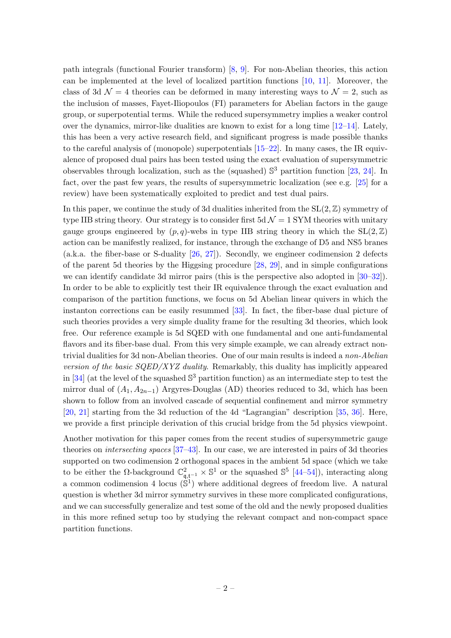path integrals (functional Fourier transform) [\[8,](#page-30-2) [9\]](#page-30-3). For non-Abelian theories, this action can be implemented at the level of localized partition functions [\[10,](#page-30-4) [11\]](#page-30-5). Moreover, the class of 3d  $\mathcal{N} = 4$  theories can be deformed in many interesting ways to  $\mathcal{N} = 2$ , such as the inclusion of masses, Fayet-Iliopoulos (FI) parameters for Abelian factors in the gauge group, or superpotential terms. While the reduced supersymmetry implies a weaker control over the dynamics, mirror-like dualities are known to exist for a long time  $[12-14]$  $[12-14]$ . Lately, this has been a very active research field, and significant progress is made possible thanks to the careful analysis of (monopole) superpotentials [\[15–](#page-30-8)[22\]](#page-30-9). In many cases, the IR equivalence of proposed dual pairs has been tested using the exact evaluation of supersymmetric observables through localization, such as the (squashed)  $\mathbb{S}^3$  partition function [\[23,](#page-30-10) [24\]](#page-31-0). In fact, over the past few years, the results of supersymmetric localization (see e.g.  $[25]$  for a review) have been systematically exploited to predict and test dual pairs.

In this paper, we continue the study of 3d dualities inherited from the  $SL(2, \mathbb{Z})$  symmetry of type IIB string theory. Our strategy is to consider first 5d  $\mathcal{N}=1$  SYM theories with unitary gauge groups engineered by  $(p, q)$ -webs in type IIB string theory in which the  $SL(2, \mathbb{Z})$ action can be manifestly realized, for instance, through the exchange of D5 and NS5 branes (a.k.a. the fiber-base or S-duality [\[26,](#page-31-2) [27\]](#page-31-3)). Secondly, we engineer codimension 2 defects of the parent 5d theories by the Higgsing procedure [\[28,](#page-31-4) [29\]](#page-31-5), and in simple configurations we can identify candidate 3d mirror pairs (this is the perspective also adopted in [\[30–](#page-31-6)[32\]](#page-31-7)). In order to be able to explicitly test their IR equivalence through the exact evaluation and comparison of the partition functions, we focus on 5d Abelian linear quivers in which the instanton corrections can be easily resummed [\[33\]](#page-31-8). In fact, the fiber-base dual picture of such theories provides a very simple duality frame for the resulting 3d theories, which look free. Our reference example is 5d SQED with one fundamental and one anti-fundamental flavors and its fiber-base dual. From this very simple example, we can already extract nontrivial dualities for 3d non-Abelian theories. One of our main results is indeed a non-Abelian version of the basic  $SQED/XYZ$  duality. Remarkably, this duality has implicitly appeared in [\[34\]](#page-31-9) (at the level of the squashed  $\mathbb{S}^3$  partition function) as an intermediate step to test the mirror dual of  $(A_1, A_{2n-1})$  Argyres-Douglas (AD) theories reduced to 3d, which has been shown to follow from an involved cascade of sequential confinement and mirror symmetry [\[20,](#page-30-11) [21\]](#page-30-12) starting from the 3d reduction of the 4d "Lagrangian" description [\[35,](#page-31-10) [36\]](#page-31-11). Here, we provide a first principle derivation of this crucial bridge from the 5d physics viewpoint.

Another motivation for this paper comes from the recent studies of supersymmetric gauge theories on intersecting spaces [\[37](#page-31-12)[–43\]](#page-32-0). In our case, we are interested in pairs of 3d theories supported on two codimension 2 orthogonal spaces in the ambient 5d space (which we take to be either the  $\Omega$ -background  $\mathbb{C}^2_{\mathfrak{q}, \mathfrak{t}^{-1}} \times \mathbb{S}^1$  or the squashed  $\mathbb{S}^5$  [\[44](#page-32-1)[–54\]](#page-32-2)), interacting along a common codimension 4 locus  $(\dot{S}^1)$  where additional degrees of freedom live. A natural question is whether 3d mirror symmetry survives in these more complicated configurations, and we can successfully generalize and test some of the old and the newly proposed dualities in this more refined setup too by studying the relevant compact and non-compact space partition functions.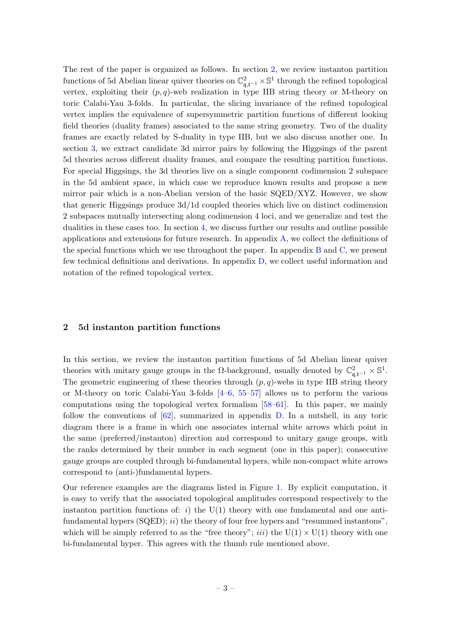The rest of the paper is organized as follows. In section [2,](#page-3-0) we review instanton partition functions of 5d Abelian linear quiver theories on  $\mathbb{C}^2_{\mathfrak{q},\mathfrak{t}^{-1}} \times \mathbb{S}^1$  through the refined topological vertex, exploiting their  $(p, q)$ -web realization in type IIB string theory or M-theory on toric Calabi-Yau 3-folds. In particular, the slicing invariance of the refined topological vertex implies the equivalence of supersymmetric partition functions of different looking field theories (duality frames) associated to the same string geometry. Two of the duality frames are exactly related by S-duality in type IIB, but we also discuss another one. In section [3,](#page-8-0) we extract candidate 3d mirror pairs by following the Higgsings of the parent 5d theories across different duality frames, and compare the resulting partition functions. For special Higgsings, the 3d theories live on a single component codimension 2 subspace in the 5d ambient space, in which case we reproduce known results and propose a new mirror pair which is a non-Abelian version of the basic SQED/XYZ. However, we show that generic Higgsings produce 3d/1d coupled theories which live on distinct codimension 2 subspaces mutually intersecting along codimension 4 loci, and we generalize and test the dualities in these cases too. In section [4,](#page-16-1) we discuss further our results and outline possible applications and extensions for future research. In appendix [A,](#page-17-0) we collect the definitions of the special functions which we use throughout the paper. In appendix [B](#page-19-0) and [C,](#page-24-0) we present few technical definitions and derivations. In appendix [D,](#page-26-0) we collect useful information and notation of the refined topological vertex.

#### <span id="page-3-0"></span>2 5d instanton partition functions

In this section, we review the instanton partition functions of 5d Abelian linear quiver theories with unitary gauge groups in the  $\Omega$ -background, usually denoted by  $\mathbb{C}^2_{\mathfrak{q},\mathfrak{t}^{-1}} \times \mathbb{S}^1$ . The geometric engineering of these theories through  $(p, q)$ -webs in type IIB string theory or M-theory on toric Calabi-Yau 3-folds [\[4–](#page-29-2)[6,](#page-30-0) [55–](#page-32-3)[57\]](#page-32-4) allows us to perform the various computations using the topological vertex formalism [\[58–](#page-32-5)[61\]](#page-32-6). In this paper, we mainly follow the conventions of [\[62\]](#page-33-0), summarized in appendix [D.](#page-26-0) In a nutshell, in any toric diagram there is a frame in which one associates internal white arrows which point in the same (preferred/instanton) direction and correspond to unitary gauge groups, with the ranks determined by their number in each segment (one in this paper); consecutive gauge groups are coupled through bi-fundamental hypers, while non-compact white arrows correspond to (anti-)fundamental hypers.

Our reference examples are the diagrams listed in Figure [1.](#page-4-0) By explicit computation, it is easy to verify that the associated topological amplitudes correspond respectively to the instanton partition functions of: i) the  $U(1)$  theory with one fundamental and one antifundamental hypers  $(SQED); ii)$  the theory of four free hypers and "resummed instantons", which will be simply referred to as the "free theory"; *iii*) the  $U(1) \times U(1)$  theory with one bi-fundamental hyper. This agrees with the thumb rule mentioned above.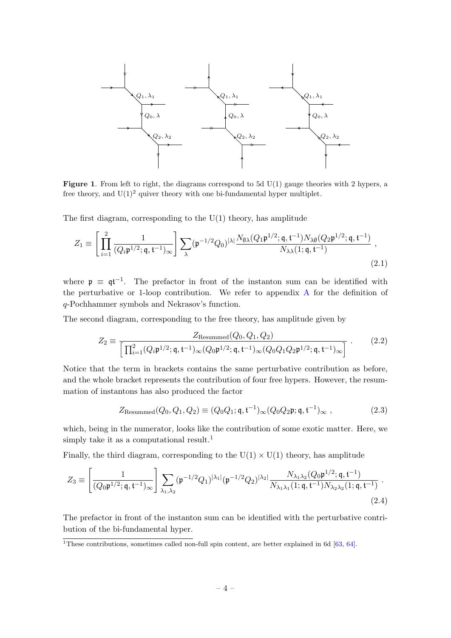

<span id="page-4-0"></span>**Figure 1.** From left to right, the diagrams correspond to 5d  $U(1)$  gauge theories with 2 hypers, a free theory, and  $U(1)^2$  quiver theory with one bi-fundamental hyper multiplet.

The first diagram, corresponding to the  $U(1)$  theory, has amplitude

$$
Z_1 \equiv \left[ \prod_{i=1}^2 \frac{1}{(Q_i \mathfrak{p}^{1/2}; \mathfrak{q}, \mathfrak{t}^{-1})_{\infty}} \right] \sum_{\lambda} (\mathfrak{p}^{-1/2} Q_0)^{|\lambda|} \frac{N_{\emptyset \lambda} (Q_1 \mathfrak{p}^{1/2}; \mathfrak{q}, \mathfrak{t}^{-1}) N_{\lambda \emptyset} (Q_2 \mathfrak{p}^{1/2}; \mathfrak{q}, \mathfrak{t}^{-1})}{N_{\lambda \lambda} (1; \mathfrak{q}, \mathfrak{t}^{-1})},
$$
\n(2.1)

where  $\mathfrak{p} \equiv \mathfrak{q} \mathfrak{t}^{-1}$ . The prefactor in front of the instanton sum can be identified with the perturbative or 1-loop contribution. We refer to appendix [A](#page-17-0) for the definition of q-Pochhammer symbols and Nekrasov's function.

The second diagram, corresponding to the free theory, has amplitude given by

<span id="page-4-1"></span>
$$
Z_2 \equiv \frac{Z_{\text{Resummed}}(Q_0, Q_1, Q_2)}{\left[\prod_{i=1}^2 (Q_i \mathfrak{p}^{1/2}; \mathfrak{q}, \mathfrak{t}^{-1})_\infty (Q_0 \mathfrak{p}^{1/2}; \mathfrak{q}, \mathfrak{t}^{-1})_\infty (Q_0 Q_1 Q_2 \mathfrak{p}^{1/2}; \mathfrak{q}, \mathfrak{t}^{-1})_\infty\right]} \ . \tag{2.2}
$$

Notice that the term in brackets contains the same perturbative contribution as before, and the whole bracket represents the contribution of four free hypers. However, the resummation of instantons has also produced the factor

$$
Z_{\text{Resummed}}(Q_0, Q_1, Q_2) \equiv (Q_0 Q_1; \mathfrak{q}, \mathfrak{t}^{-1})_{\infty} (Q_0 Q_2 \mathfrak{p}; \mathfrak{q}, \mathfrak{t}^{-1})_{\infty} ,
$$
 (2.3)

which, being in the numerator, looks like the contribution of some exotic matter. Here, we simply take it as a computational result.<sup>[1](#page-0-0)</sup>

Finally, the third diagram, corresponding to the  $U(1) \times U(1)$  theory, has amplitude

$$
Z_3 \equiv \left[ \frac{1}{(Q_0 \mathfrak{p}^{1/2}; \mathfrak{q}, \mathfrak{t}^{-1})_{\infty}} \right] \sum_{\lambda_1, \lambda_2} (\mathfrak{p}^{-1/2} Q_1)^{|\lambda_1|} (\mathfrak{p}^{-1/2} Q_2)^{|\lambda_2|} \frac{N_{\lambda_1 \lambda_2} (Q_0 \mathfrak{p}^{1/2}; \mathfrak{q}, \mathfrak{t}^{-1})}{N_{\lambda_1 \lambda_1} (1; \mathfrak{q}, \mathfrak{t}^{-1}) N_{\lambda_2 \lambda_2} (1; \mathfrak{q}, \mathfrak{t}^{-1})} \ . \tag{2.4}
$$

The prefactor in front of the instanton sum can be identified with the perturbative contribution of the bi-fundamental hyper.

 $\overline{1}$ These contributions, sometimes called non-full spin content, are better explained in 6d [\[63,](#page-33-1) [64\]](#page-33-2).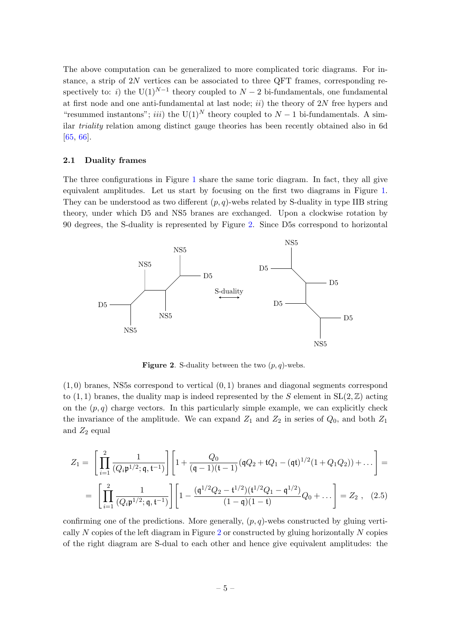The above computation can be generalized to more complicated toric diagrams. For instance, a strip of  $2N$  vertices can be associated to three QFT frames, corresponding respectively to: *i*) the U(1)<sup>N-1</sup> theory coupled to  $N-2$  bi-fundamentals, one fundamental at first node and one anti-fundamental at last node;  $ii)$  the theory of 2N free hypers and "resummed instantons"; *iii*) the U(1)<sup>N</sup> theory coupled to  $N-1$  bi-fundamentals. A similar triality relation among distinct gauge theories has been recently obtained also in 6d [\[65,](#page-33-3) [66\]](#page-33-4).

#### <span id="page-5-0"></span>2.1 Duality frames

The three configurations in Figure [1](#page-4-0) share the same toric diagram. In fact, they all give equivalent amplitudes. Let us start by focusing on the first two diagrams in Figure [1.](#page-4-0) They can be understood as two different  $(p, q)$ -webs related by S-duality in type IIB string theory, under which D5 and NS5 branes are exchanged. Upon a clockwise rotation by 90 degrees, the S-duality is represented by Figure [2.](#page-5-1) Since D5s correspond to horizontal



<span id="page-5-1"></span>**Figure 2.** S-duality between the two  $(p, q)$ -webs.

 $(1,0)$  branes, NS5s correspond to vertical  $(0,1)$  branes and diagonal segments correspond to  $(1, 1)$  branes, the duality map is indeed represented by the S element in  $SL(2, \mathbb{Z})$  acting on the  $(p, q)$  charge vectors. In this particularly simple example, we can explicitly check the invariance of the amplitude. We can expand  $Z_1$  and  $Z_2$  in series of  $Q_0$ , and both  $Z_1$ and  $Z_2$  equal

$$
Z_1 = \left[ \prod_{i=1}^2 \frac{1}{(Q_i \mathfrak{p}^{1/2}; \mathfrak{q}, \mathfrak{t}^{-1})} \right] \left[ 1 + \frac{Q_0}{(\mathfrak{q} - 1)(\mathfrak{t} - 1)} (\mathfrak{q} Q_2 + \mathfrak{t} Q_1 - (\mathfrak{q} \mathfrak{t})^{1/2} (1 + Q_1 Q_2)) + \dots \right] =
$$
  
= 
$$
\left[ \prod_{i=1}^2 \frac{1}{(Q_i \mathfrak{p}^{1/2}; \mathfrak{q}, \mathfrak{t}^{-1})} \right] \left[ 1 - \frac{(\mathfrak{q}^{1/2} Q_2 - \mathfrak{t}^{1/2})(\mathfrak{t}^{1/2} Q_1 - \mathfrak{q}^{1/2})}{(1 - \mathfrak{q})(1 - \mathfrak{t})} Q_0 + \dots \right] = Z_2 , \quad (2.5)
$$

confirming one of the predictions. More generally,  $(p, q)$ -webs constructed by gluing verti-cally N copies of the left diagram in Figure [2](#page-5-1) or constructed by gluing horizontally N copies of the right diagram are S-dual to each other and hence give equivalent amplitudes: the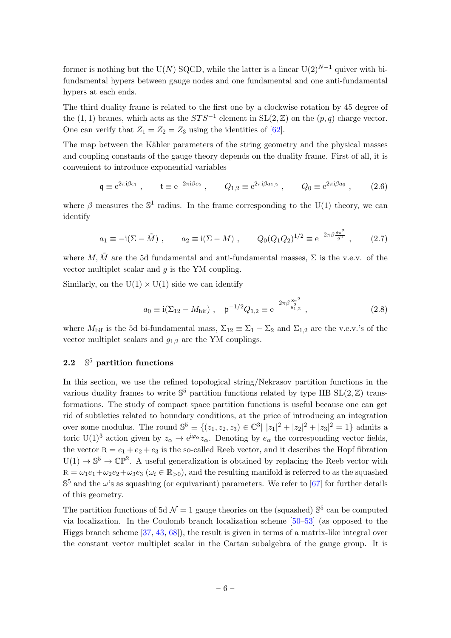former is nothing but the U(N) SQCD, while the latter is a linear U(2)<sup>N-1</sup> quiver with bifundamental hypers between gauge nodes and one fundamental and one anti-fundamental hypers at each ends.

The third duality frame is related to the first one by a clockwise rotation by 45 degree of the (1, 1) branes, which acts as the  $STS^{-1}$  element in  $SL(2, \mathbb{Z})$  on the  $(p, q)$  charge vector. One can verify that  $Z_1 = Z_2 = Z_3$  using the identities of [\[62\]](#page-33-0).

The map between the Kähler parameters of the string geometry and the physical masses and coupling constants of the gauge theory depends on the duality frame. First of all, it is convenient to introduce exponential variables

<span id="page-6-1"></span>
$$
\mathfrak{q} \equiv e^{2\pi i \beta \epsilon_1} , \qquad \mathfrak{t} \equiv e^{-2\pi i \beta \epsilon_2} , \qquad Q_{1,2} \equiv e^{2\pi i \beta a_{1,2}} , \qquad Q_0 \equiv e^{2\pi i \beta a_0} , \qquad (2.6)
$$

where  $\beta$  measures the  $\mathbb{S}^1$  radius. In the frame corresponding to the U(1) theory, we can identify

$$
a_1 \equiv -i(\Sigma - \tilde{M}), \qquad a_2 \equiv i(\Sigma - M), \qquad Q_0(Q_1Q_2)^{1/2} \equiv e^{-2\pi\beta \frac{8\pi^2}{g^2}}, \qquad (2.7)
$$

where M,  $\tilde{M}$  are the 5d fundamental and anti-fundamental masses,  $\Sigma$  is the v.e.v. of the vector multiplet scalar and  $q$  is the YM coupling.

Similarly, on the  $U(1) \times U(1)$  side we can identify

<span id="page-6-2"></span>
$$
a_0 \equiv \mathrm{i}(\Sigma_{12} - M_{\text{bif}}) \ , \quad \mathfrak{p}^{-1/2} Q_{1,2} \equiv e^{-2\pi \beta \frac{8\pi^2}{g_{1,2}^2}} \ , \tag{2.8}
$$

where  $M_{\text{bif}}$  is the 5d bi-fundamental mass,  $\Sigma_{12} \equiv \Sigma_1 - \Sigma_2$  and  $\Sigma_{1,2}$  are the v.e.v.'s of the vector multiplet scalars and  $g_{1,2}$  are the YM couplings.

#### <span id="page-6-0"></span> $2.2$  $\mathbb{S}^5$  partition functions

In this section, we use the refined topological string/Nekrasov partition functions in the various duality frames to write  $\mathbb{S}^5$  partition functions related by type IIB  $SL(2,\mathbb{Z})$  transformations. The study of compact space partition functions is useful because one can get rid of subtleties related to boundary conditions, at the price of introducing an integration over some modulus. The round  $\mathbb{S}^5 \equiv \{(z_1, z_2, z_3) \in \mathbb{C}^3 \mid |z_1|^2 + |z_2|^2 + |z_3|^2 = 1\}$  admits a toric U(1)<sup>3</sup> action given by  $z_{\alpha} \to e^{i\varphi_{\alpha}} z_{\alpha}$ . Denoting by  $e_{\alpha}$  the corresponding vector fields, the vector  $R = e_1 + e_2 + e_3$  is the so-called Reeb vector, and it describes the Hopf fibration  $U(1) \to \mathbb{S}^5 \to \mathbb{CP}^2$ . A useful generalization is obtained by replacing the Reeb vector with  $R = \omega_1 e_1 + \omega_2 e_2 + \omega_3 e_3$  ( $\omega_i \in \mathbb{R}_{>0}$ ), and the resulting manifold is referred to as the squashed  $\mathbb{S}^5$  and the  $\omega$ 's as squashing (or equivariant) parameters. We refer to [\[67\]](#page-33-5) for further details of this geometry.

The partition functions of 5d  $\mathcal{N}=1$  gauge theories on the (squashed)  $\mathbb{S}^5$  can be computed via localization. In the Coulomb branch localization scheme [\[50–](#page-32-7)[53\]](#page-32-8) (as opposed to the Higgs branch scheme [\[37,](#page-31-12) [43,](#page-32-0) [68\]](#page-33-6)), the result is given in terms of a matrix-like integral over the constant vector multiplet scalar in the Cartan subalgebra of the gauge group. It is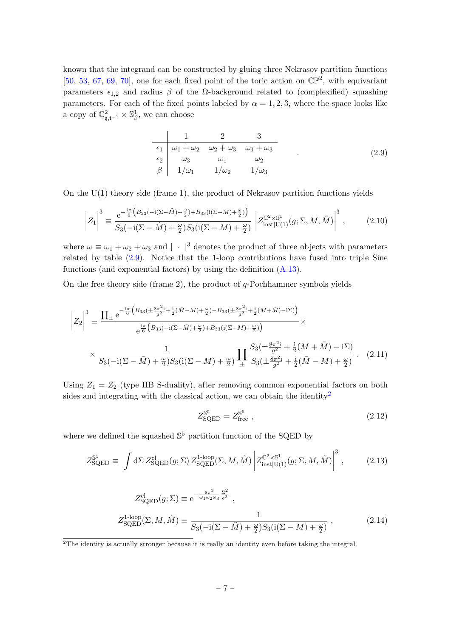known that the integrand can be constructed by gluing three Nekrasov partition functions [\[50,](#page-32-7) [53,](#page-32-8) [67,](#page-33-5) [69,](#page-33-7) [70\]](#page-33-8), one for each fixed point of the toric action on  $\mathbb{CP}^2$ , with equivariant parameters  $\epsilon_{1,2}$  and radius  $\beta$  of the  $\Omega$ -background related to (complexified) squashing parameters. For each of the fixed points labeled by  $\alpha = 1, 2, 3$ , where the space looks like a copy of  $\mathbb{C}^2_{\mathfrak{q},\mathfrak{t}^{-1}} \times \mathbb{S}^1_{\beta}$ , we can choose

<span id="page-7-0"></span>
$$
\begin{array}{c|cccc}\n & 1 & 2 & 3\\
\hline\n\epsilon_1 & \omega_1 + \omega_2 & \omega_2 + \omega_3 & \omega_1 + \omega_3\\
\epsilon_2 & \omega_3 & \omega_1 & \omega_2\\
\beta & 1/\omega_1 & 1/\omega_2 & 1/\omega_3\n\end{array} \tag{2.9}
$$

On the  $U(1)$  theory side (frame 1), the product of Nekrasov partition functions yields

$$
\left| Z_{1} \right|^{3} \equiv \frac{e^{-\frac{i\pi}{6} \left( B_{33}(-i(\Sigma - \tilde{M}) + \frac{\omega}{2}) + B_{33}(i(\Sigma - M) + \frac{\omega}{2}) \right)}}{S_{3}(-i(\Sigma - \tilde{M}) + \frac{\omega}{2}) S_{3}(i(\Sigma - M) + \frac{\omega}{2})} \left| Z_{\text{inst}|U(1)}^{\mathbb{C}^{2} \times \mathbb{S}^{1}}(g; \Sigma, M, \tilde{M}) \right|^{3}, \tag{2.10}
$$

where  $\omega \equiv \omega_1 + \omega_2 + \omega_3$  and  $|\cdot|^3$  denotes the product of three objects with parameters related by table [\(2.9\)](#page-7-0). Notice that the 1-loop contributions have fused into triple Sine functions (and exponential factors) by using the definition  $(A.13)$ .

On the free theory side (frame 2), the product of  $q$ -Pochhammer symbols yields

$$
\left| Z_{2} \right|^{3} \equiv \frac{\prod_{\pm} e^{-\frac{i\pi}{6} \left( B_{33} \left( \pm \frac{8\pi^{2} i}{g^{2}} + \frac{i}{2} (\tilde{M} - M) + \frac{\omega}{2} \right) - B_{33} \left( \pm \frac{8\pi^{2} i}{g^{2}} + \frac{i}{2} (M + \tilde{M}) - i \Sigma \right) \right)}}{e^{\frac{i\pi}{6} \left( B_{33} \left( -i \left( \Sigma - \tilde{M} \right) + \frac{\omega}{2} \right) + B_{33} \left( i \left( \Sigma - M \right) + \frac{\omega}{2} \right) \right)}} \times \frac{1}{S_{3} \left( -i \left( \Sigma - \tilde{M} \right) + \frac{\omega}{2} \right) S_{3} \left( i \left( \Sigma - M \right) + \frac{\omega}{2} \right)} \prod_{\pm} \frac{S_{3} \left( \pm \frac{8\pi^{2} i}{g^{2}} + \frac{i}{2} (M + \tilde{M}) - i \Sigma \right)}{S_{3} \left( \pm \frac{8\pi^{2} i}{g^{2}} + \frac{i}{2} (\tilde{M} - M) + \frac{\omega}{2} \right)} \,. \tag{2.11}
$$

Using  $Z_1 = Z_2$  (type IIB S-duality), after removing common exponential factors on both sides and integrating with the classical action, we can obtain the identity<sup>[2](#page-0-0)</sup>

<span id="page-7-1"></span>
$$
Z_{\rm SQED}^{\rm S^5} = Z_{\rm free}^{\rm S^5} \,, \tag{2.12}
$$

where we defined the squashed  $\mathbb{S}^5$  partition function of the SQED by

$$
Z_{\text{SQED}}^{\mathbb{S}^5} \equiv \int d\Sigma \, Z_{\text{SQED}}^{\text{cl}}(g; \Sigma) \, Z_{\text{SQED}}^{1\text{-loop}}(\Sigma, M, \tilde{M}) \left| Z_{\text{inst}|U(1)}^{\mathbb{C}^2 \times \mathbb{S}^1}(g; \Sigma, M, \tilde{M}) \right|^3, \tag{2.13}
$$

$$
Z_{\text{SQED}}^{\text{cl}}(g;\Sigma) \equiv e^{-\frac{8\pi^3}{\omega_1 \omega_2 \omega_3} \frac{\Sigma^2}{g^2}},
$$
  
\n
$$
Z_{\text{SQED}}^{1-\text{loop}}(\Sigma, M, \tilde{M}) \equiv \frac{1}{S_3(-i(\Sigma - \tilde{M}) + \frac{\omega}{2})S_3(i(\Sigma - M) + \frac{\omega}{2})},
$$
\n(2.14)

<sup>&</sup>lt;sup>2</sup>The identity is actually stronger because it is really an identity even before taking the integral.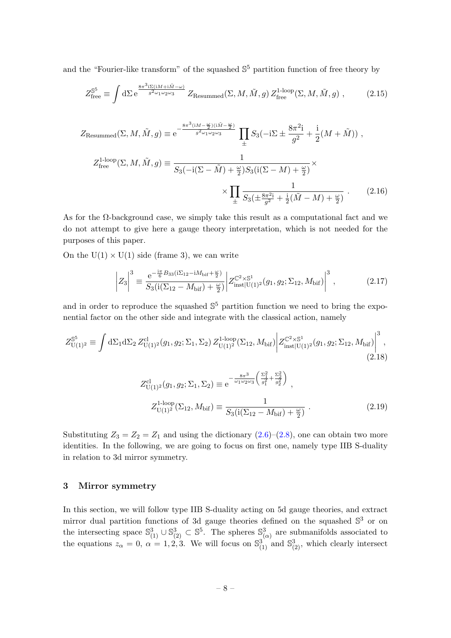and the "Fourier-like transform" of the squashed  $\mathbb{S}^5$  partition function of free theory by

$$
Z_{\text{free}}^{\mathbb{S}^5} \equiv \int d\Sigma \, \mathrm{e}^{\frac{8\pi^3 i \Sigma (iM + i\tilde{M} - \omega)}{g^2 \omega_1 \omega_2 \omega_3}} Z_{\text{Resummed}}(\Sigma, M, \tilde{M}, g) \, Z_{\text{free}}^{1-\text{loop}}(\Sigma, M, \tilde{M}, g) \;, \tag{2.15}
$$

$$
Z_{\text{Resummed}}(\Sigma, M, \tilde{M}, g) \equiv e^{-\frac{8\pi^3 (iM - \frac{\omega}{2})(i\tilde{M} - \frac{\omega}{2})}{g^2}} \prod_{\pm} S_3(-i\Sigma \pm \frac{8\pi^2 i}{g^2} + \frac{i}{2}(M + \tilde{M})),
$$
  

$$
Z_{\text{free}}^{1-\text{loop}}(\Sigma, M, \tilde{M}, g) \equiv \frac{1}{S_3(-i(\Sigma - \tilde{M}) + \frac{\omega}{2})S_3(i(\Sigma - M) + \frac{\omega}{2})} \times \frac{1}{\frac{1}{2}} \times \prod_{\pm} \frac{1}{S_3(\pm \frac{8\pi^2 i}{g^2} + \frac{i}{2}(\tilde{M} - M) + \frac{\omega}{2})} .
$$
 (2.16)

As for the  $\Omega$ -background case, we simply take this result as a computational fact and we do not attempt to give here a gauge theory interpretation, which is not needed for the purposes of this paper.

On the  $U(1) \times U(1)$  side (frame 3), we can write

$$
\left| Z_3 \right|^3 \equiv \frac{e^{-\frac{i\pi}{6}B_{33}(i\Sigma_{12}-iM_{\text{bif}}+\frac{\omega}{2})}}{S_3(i(\Sigma_{12}-M_{\text{bif}})+\frac{\omega}{2})} \left| Z_{\text{inst}|U(1)^2}^{C^2 \times \mathbb{S}^1} (g_1, g_2; \Sigma_{12}, M_{\text{bif}}) \right|^3, \tag{2.17}
$$

and in order to reproduce the squashed  $\mathbb{S}^5$  partition function we need to bring the exponential factor on the other side and integrate with the classical action, namely

$$
Z_{\text{U}(1)^2}^{\mathbb{S}^5} \equiv \int d\Sigma_1 d\Sigma_2 Z_{\text{U}(1)^2}^{\text{cl}}(g_1, g_2; \Sigma_1, \Sigma_2) Z_{\text{U}(1)^2}^{\text{1-loop}}(\Sigma_{12}, M_{\text{bif}}) \left| Z_{\text{inst}|U(1)^2}^{\mathbb{C}^2 \times \mathbb{S}^1}(g_1, g_2; \Sigma_{12}, M_{\text{bif}}) \right|^3, \tag{2.18}
$$

$$
Z_{\text{U}(1)^2}^{\text{cl}}(g_1, g_2; \Sigma_1, \Sigma_2) \equiv e^{-\frac{8\pi^3}{\omega_1 \omega_2 \omega_3} \left(\frac{\Sigma_1^2}{g_1^2} + \frac{\Sigma_2^2}{g_2^2}\right)},
$$
  
\n
$$
Z_{\text{U}(1)^2}^{\text{1-loop}}(\Sigma_{12}, M_{\text{bif}}) \equiv \frac{1}{S_3(i(\Sigma_{12} - M_{\text{bif}}) + \frac{\omega}{2})}.
$$
\n(2.19)

Substituting  $Z_3 = Z_2 = Z_1$  and using the dictionary  $(2.6)$ – $(2.8)$ , one can obtain two more identities. In the following, we are going to focus on first one, namely type IIB S-duality in relation to 3d mirror symmetry.

#### <span id="page-8-0"></span>3 Mirror symmetry

In this section, we will follow type IIB S-duality acting on 5d gauge theories, and extract mirror dual partition functions of 3d gauge theories defined on the squashed  $\mathbb{S}^3$  or on the intersecting space  $\mathbb{S}_{(1)}^3 \cup \mathbb{S}_{(2)}^3 \subset \mathbb{S}^5$ . The spheres  $\mathbb{S}_{(\alpha)}^3$  are submanifolds associated to the equations  $z_{\alpha} = 0$ ,  $\alpha = 1, 2, 3$ . We will focus on  $\mathbb{S}_{(1)}^3$  and  $\mathbb{S}_{(2)}^3$ , which clearly intersect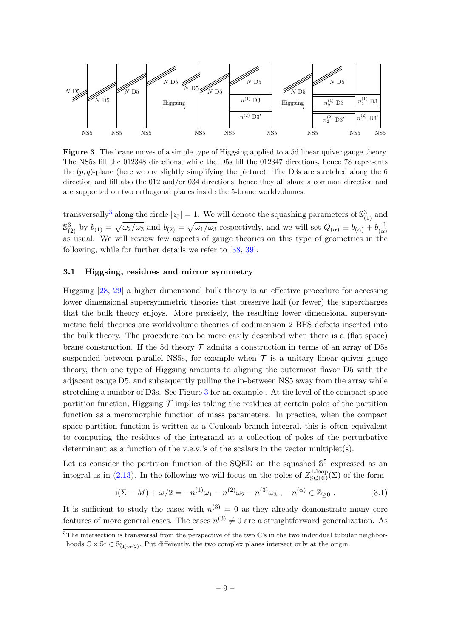

<span id="page-9-1"></span>Figure 3. The brane moves of a simple type of Higgsing applied to a 5d linear quiver gauge theory. The NS5s fill the 012348 directions, while the D5s fill the 012347 directions, hence 78 represents the  $(p, q)$ -plane (here we are slightly simplifying the picture). The D3s are stretched along the 6 direction and fill also the 012 and/or 034 directions, hence they all share a common direction and are supported on two orthogonal planes inside the 5-brane worldvolumes.

transversally<sup>[3](#page-0-0)</sup> along the circle  $|z_3| = 1$ . We will denote the squashing parameters of  $\mathbb{S}_{(1)}^3$  and  $\mathbb{S}_{(2)}^3$  by  $b_{(1)} = \sqrt{\omega_2/\omega_3}$  and  $b_{(2)} = \sqrt{\omega_1/\omega_3}$  respectively, and we will set  $Q_{(\alpha)} \equiv b_{(\alpha)} + b_{(\alpha)}^{-1}$  $\dot{}(\alpha)$ as usual. We will review few aspects of gauge theories on this type of geometries in the following, while for further details we refer to [\[38,](#page-31-13) [39\]](#page-31-14).

#### <span id="page-9-0"></span>3.1 Higgsing, residues and mirror symmetry

Higgsing [\[28,](#page-31-4) [29\]](#page-31-5) a higher dimensional bulk theory is an effective procedure for accessing lower dimensional supersymmetric theories that preserve half (or fewer) the supercharges that the bulk theory enjoys. More precisely, the resulting lower dimensional supersymmetric field theories are worldvolume theories of codimension 2 BPS defects inserted into the bulk theory. The procedure can be more easily described when there is a (flat space) brane construction. If the 5d theory  $\mathcal T$  admits a construction in terms of an array of D5s suspended between parallel NS5s, for example when  $\mathcal T$  is a unitary linear quiver gauge theory, then one type of Higgsing amounts to aligning the outermost flavor D5 with the adjacent gauge D5, and subsequently pulling the in-between NS5 away from the array while stretching a number of D3s. See Figure [3](#page-9-1) for an example . At the level of the compact space partition function, Higgsing  $\mathcal T$  implies taking the residues at certain poles of the partition function as a meromorphic function of mass parameters. In practice, when the compact space partition function is written as a Coulomb branch integral, this is often equivalent to computing the residues of the integrand at a collection of poles of the perturbative determinant as a function of the v.e.v.'s of the scalars in the vector multiplet(s).

Let us consider the partition function of the SQED on the squashed  $\mathbb{S}^5$  expressed as an integral as in [\(2.13\)](#page-7-1). In the following we will focus on the poles of  $Z_{\text{SQED}}^{\text{1-loop}}(\Sigma)$  of the form

<span id="page-9-2"></span>
$$
i(\Sigma - M) + \omega/2 = -n^{(1)}\omega_1 - n^{(2)}\omega_2 - n^{(3)}\omega_3 , \quad n^{(\alpha)} \in \mathbb{Z}_{\geq 0} .
$$
 (3.1)

It is sufficient to study the cases with  $n^{(3)} = 0$  as they already demonstrate many core features of more general cases. The cases  $n^{(3)} \neq 0$  are a straightforward generalization. As

 $\overline{3}$ The intersection is transversal from the perspective of the two  $\mathbb{C}$ 's in the two individual tubular neighborhoods  $\mathbb{C} \times \mathbb{S}^1 \subset \mathbb{S}^3_{(1) \text{or}(2)}$ . Put differently, the two complex planes intersect only at the origin.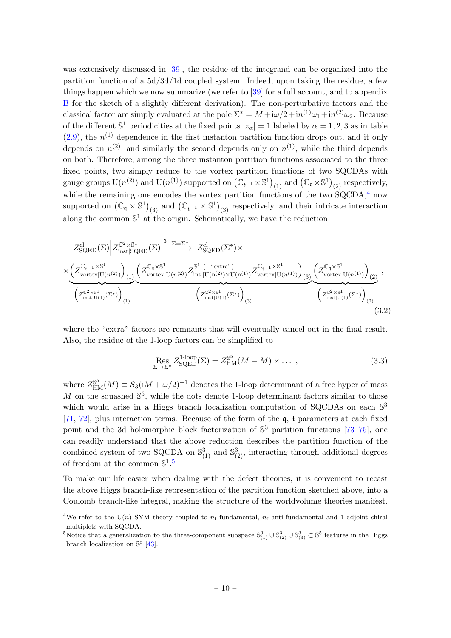was extensively discussed in [\[39\]](#page-31-14), the residue of the integrand can be organized into the partition function of a 5d/3d/1d coupled system. Indeed, upon taking the residue, a few things happen which we now summarize (we refer to [\[39\]](#page-31-14) for a full account, and to appendix [B](#page-19-0) for the sketch of a slightly different derivation). The non-perturbative factors and the classical factor are simply evaluated at the pole  $\Sigma^* = M + i\omega/2 + in^{(1)}\omega_1 + in^{(2)}\omega_2$ . Because of the different  $\mathbb{S}^1$  periodicities at the fixed points  $|z_\alpha|=1$  labeled by  $\alpha=1,2,3$  as in table  $(2.9)$ , the  $n<sup>(1)</sup>$  dependence in the first instanton partition function drops out, and it only depends on  $n^{(2)}$ , and similarly the second depends only on  $n^{(1)}$ , while the third depends on both. Therefore, among the three instanton partition functions associated to the three fixed points, two simply reduce to the vortex partition functions of two SQCDAs with gauge groups  $\mathrm{U}(n^{(2)})$  and  $\mathrm{U}(n^{(1)})$  supported on  $(\mathbb{C}_{t^{-1}} \times \mathbb{S}^1)_{(1)}$  and  $(\mathbb{C}_{\mathfrak{q}} \times \mathbb{S}^1)_{(2)}$  respectively, while the remaining one encodes the vortex partition functions of the two  $\text{SQCDA},^4$  $\text{SQCDA},^4$  now supported on  $(\mathbb{C}_{\mathfrak{q}} \times \mathbb{S}^1)_{(3)}$  and  $(\mathbb{C}_{t^{-1}} \times \mathbb{S}^1)_{(3)}$  respectively, and their intricate interaction along the common  $\mathbb{S}^1$  at the origin. Schematically, we have the reduction

$$
Z_{SQED}^{cl}(\Sigma) \Big| Z_{inst|SQED}^{\mathbb{C}^2 \times \mathbb{S}^1}(\Sigma) \Big|^3 \xrightarrow{\Sigma = \Sigma^*} Z_{SQED}^{cl}(\Sigma^*) \times \times \Big( Z_{vortex|U(n^{(2)})}^{\mathbb{C}_{i \text{nst}}^{\mathbb{C}_{i \text{c}}}(\Sigma)} \Big)_{(1)} \underbrace{\Big( Z_{vortex|U(n^{(2)})}^{\mathbb{C}_{q} \times \mathbb{S}^1} Z_{int,|U(n^{(2)}) \times U(n^{(1)})}^{\mathbb{S}_{i \text{c}}} Z_{int|U(n^{(2)}) \times U(n^{(1)})}^{\mathbb{S}_{i \text{c}}} Z_{vortex|U(n^{(1)})}^{\mathbb{C}_{i \text{c}}} \Big)_{(2)}^{(\Sigma_{vortex|U(n^{(1)})})} \Big)_{(3)} \underbrace{\Big( Z_{vortex|U(n^{(1)})}^{\mathbb{C}_{q} \times \mathbb{S}^1} (Z_{inst|U(1)}^{\mathbb{C}_{q} \times \mathbb{S}^1} (Z_{inst|U(1)}^{\mathbb{C}_{i \text{c}}}(\Sigma^*)) \Big)_{(3)} }_{(4)} \Big)
$$
\n
$$
Z_{inst|U(1)}^{\mathbb{C}^2 \times \mathbb{S}^1} \Big( Z_{inst|U(1)}^{\mathbb{C}^2 \times \mathbb{S}^1} \Big)_{(4)} (3.2)
$$

where the "extra" factors are remnants that will eventually cancel out in the final result. Also, the residue of the 1-loop factors can be simplified to

<span id="page-10-0"></span>
$$
\operatorname{Res}_{\Sigma \to \Sigma^*} Z_{\operatorname{SQED}}^{\operatorname{1-loop}}(\Sigma) = Z_{\operatorname{HM}}^{\mathbb{S}^5}(\tilde{M} - M) \times \dots \,, \tag{3.3}
$$

where  $Z_{\rm HM}^{\rm S^5}(M) \equiv S_3({\rm i}M + \omega/2)^{-1}$  denotes the 1-loop determinant of a free hyper of mass  $M$  on the squashed  $\mathbb{S}^5$ , while the dots denote 1-loop determinant factors similar to those which would arise in a Higgs branch localization computation of SQCDAs on each  $\mathbb{S}^3$ [\[71,](#page-33-9) [72\]](#page-33-10), plus interaction terms. Because of the form of the q, t parameters at each fixed point and the 3d holomorphic block factorization of  $\mathbb{S}^3$  partition functions [\[73](#page-33-11)[–75\]](#page-33-12), one can readily understand that the above reduction describes the partition function of the combined system of two SQCDA on  $\mathbb{S}^3_{(1)}$  and  $\mathbb{S}^3_{(2)}$ , interacting through additional degrees of freedom at the common  $\mathbb{S}^1$ .<sup>[5](#page-0-0)</sup>

To make our life easier when dealing with the defect theories, it is convenient to recast the above Higgs branch-like representation of the partition function sketched above, into a Coulomb branch-like integral, making the structure of the worldvolume theories manifest.

<sup>&</sup>lt;sup>4</sup>We refer to the U(n) SYM theory coupled to  $n_f$  fundamental,  $n_f$  anti-fundamental and 1 adjoint chiral multiplets with SQCDA.

<sup>&</sup>lt;sup>5</sup>Notice that a generalization to the three-component subspace  $\mathbb{S}^3_{(1)} \cup \mathbb{S}^3_{(2)} \cup \mathbb{S}^3_{(3)} \subset \mathbb{S}^5$  features in the Higgs branch localization on  $\mathbb{S}^5$  [\[43\]](#page-32-0).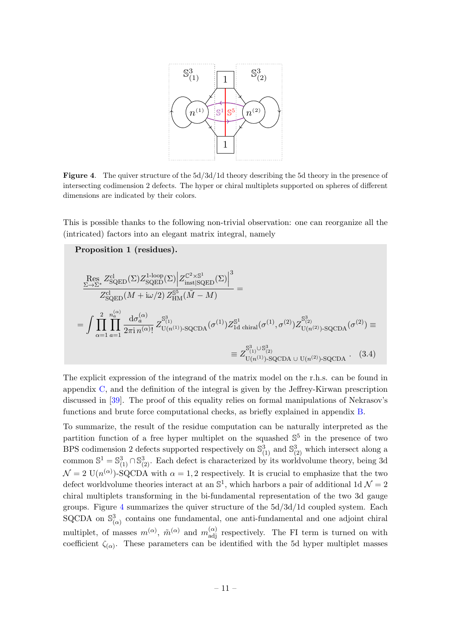

<span id="page-11-0"></span>Figure 4. The quiver structure of the  $5d/3d/1d$  theory describing the 5d theory in the presence of intersecting codimension 2 defects. The hyper or chiral multiplets supported on spheres of different dimensions are indicated by their colors.

This is possible thanks to the following non-trivial observation: one can reorganize all the (intricated) factors into an elegant matrix integral, namely

Proposition 1 (residues).  
\n
$$
\frac{\text{Res } Z_{\text{SQED}}^{\text{cl}}(\Sigma) Z_{\text{SQED}}^{\text{1-loop}(\Sigma)} \Big| Z_{\text{inst}|SQED}^{\mathbb{C}^2 \times \mathbb{S}^1}(\Sigma) \Big|^3}{Z_{\text{SQED}}^{\text{cl}}(M + i\omega/2) Z_{\text{HM}}^{\mathbb{S}^5}(\tilde{M} - M)} =
$$
\n
$$
= \int \prod_{\alpha=1}^2 \prod_{a=1}^{n_a^{(\alpha)}} \frac{d\sigma_a^{(\alpha)}}{2\pi i n^{(\alpha)}} Z_{\text{U}(n^{(1)})\text{-SQCDA}}^{\mathbb{S}^3}(\sigma^{(1)}) Z_{\text{1d chiral}}^{\mathbb{S}^1}(\sigma^{(1)}, \sigma^{(2)}) Z_{\text{U}(n^{(2)})\text{-SQCDA}}^{\mathbb{S}^3}(\sigma^{(2)}) \equiv
$$
\n
$$
\equiv Z_{\text{U}(n^{(1)})\text{-SQCDA}\cup\text{U}(n^{(2)})\text{-SQCDA}}^{\mathbb{S}^3}(\sigma^{(3)})
$$
\n(3.4)

<span id="page-11-1"></span>The explicit expression of the integrand of the matrix model on the r.h.s. can be found in appendix [C,](#page-24-0) and the definition of the integral is given by the Jeffrey-Kirwan prescription discussed in [\[39\]](#page-31-14). The proof of this equality relies on formal manipulations of Nekrasov's functions and brute force computational checks, as briefly explained in appendix [B.](#page-19-0)

To summarize, the result of the residue computation can be naturally interpreted as the partition function of a free hyper multiplet on the squashed  $\mathbb{S}^5$  in the presence of two BPS codimension 2 defects supported respectively on  $\mathbb{S}^3_{(1)}$  and  $\mathbb{S}^3_{(2)}$  which intersect along a common  $\mathbb{S}^1 = \mathbb{S}^3_{(1)} \cap \mathbb{S}^3_{(2)}$ . Each defect is characterized by its worldvolume theory, being 3d  $\mathcal{N} = 2 \text{ U}(n^{(\alpha)})$ -SQCDA with  $\alpha = 1, 2$  respectively. It is crucial to emphasize that the two defect worldvolume theories interact at an  $\mathbb{S}^1$ , which harbors a pair of additional 1d  $\mathcal{N}=2$ chiral multiplets transforming in the bi-fundamental representation of the two 3d gauge groups. Figure [4](#page-11-0) summarizes the quiver structure of the 5d/3d/1d coupled system. Each SQCDA on  $\mathbb{S}^3_{(\alpha)}$  contains one fundamental, one anti-fundamental and one adjoint chiral multiplet, of masses  $m^{(\alpha)}$ ,  $\tilde{m}^{(\alpha)}$  and  $m^{(\alpha)}_{\text{adj}}$  respectively. The FI term is turned on with coefficient  $\zeta_{(\alpha)}$ . These parameters can be identified with the 5d hyper multiplet masses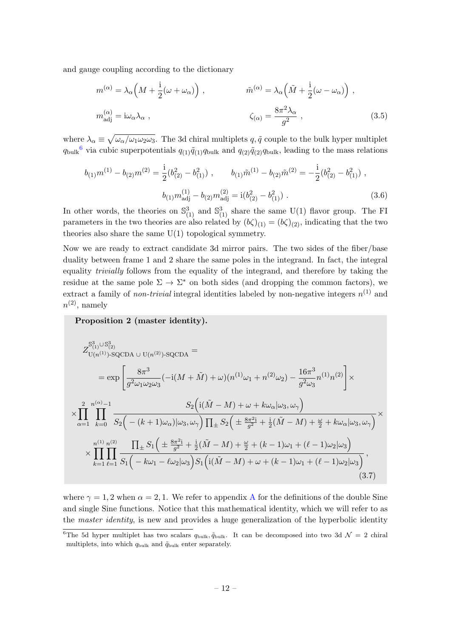and gauge coupling according to the dictionary

<span id="page-12-0"></span>
$$
m^{(\alpha)} = \lambda_{\alpha} \left( M + \frac{i}{2} (\omega + \omega_{\alpha}) \right) , \qquad \tilde{m}^{(\alpha)} = \lambda_{\alpha} \left( \tilde{M} + \frac{i}{2} (\omega - \omega_{\alpha}) \right) ,
$$

$$
m^{(\alpha)}_{\text{adj}} = i \omega_{\alpha} \lambda_{\alpha} , \qquad \zeta_{(\alpha)} = \frac{8\pi^2 \lambda_{\alpha}}{g^2} , \qquad (3.5)
$$

where  $\lambda_{\alpha} \equiv \sqrt{\omega_{\alpha}/\omega_1 \omega_2 \omega_3}$ . The 3d chiral multiplets  $q, \tilde{q}$  couple to the bulk hyper multiplet  $q_{\text{bulk}}^6$  $q_{\text{bulk}}^6$  via cubic superpotentials  $q_{(1)}\tilde{q}_{(1)}q_{\text{bulk}}$  and  $q_{(2)}\tilde{q}_{(2)}q_{\text{bulk}}$ , leading to the mass relations

$$
b_{(1)}m^{(1)} - b_{(2)}m^{(2)} = \frac{1}{2}(b_{(2)}^2 - b_{(1)}^2) , \qquad b_{(1)}\tilde{m}^{(1)} - b_{(2)}\tilde{m}^{(2)} = -\frac{1}{2}(b_{(2)}^2 - b_{(1)}^2) ,
$$

$$
b_{(1)}m_{\text{adj}}^{(1)} - b_{(2)}m_{\text{adj}}^{(2)} = i(b_{(2)}^2 - b_{(1)}^2) . \qquad (3.6)
$$

In other words, the theories on  $\mathbb{S}^3_{(1)}$  and  $\mathbb{S}^3_{(1)}$  share the same U(1) flavor group. The FI parameters in the two theories are also related by  $(b\zeta)_{(1)} = (b\zeta)_{(2)}$ , indicating that the two theories also share the same  $U(1)$  topological symmetry.

Now we are ready to extract candidate 3d mirror pairs. The two sides of the fiber/base duality between frame 1 and 2 share the same poles in the integrand. In fact, the integral equality trivially follows from the equality of the integrand, and therefore by taking the residue at the same pole  $\Sigma \to \Sigma^*$  on both sides (and dropping the common factors), we extract a family of *non-trivial* integral identities labeled by non-negative integers  $n^{(1)}$  and  $n^{(2)}$ , namely

Proposition 2 (master identity).

$$
Z_{U(n^{(1)})\text{-}SQCDA\ \cup\ U(n^{(2)})\text{-}SQCDA}^{S_{(1)}^3\cup S_{(2)}^3} =
$$
\n
$$
= \exp\left[\frac{8\pi^3}{g^2\omega_1\omega_2\omega_3}(-i(M+\tilde{M})+\omega)(n^{(1)}\omega_1+n^{(2)}\omega_2) - \frac{16\pi^3}{g^2\omega_3}n^{(1)}n^{(2)}\right] \times
$$
\n
$$
\times \prod_{\alpha=1}^2 \prod_{k=0}^{n^{(\alpha)}-1} \frac{S_2\left(i(\tilde{M}-M)+\omega+k\omega_{\alpha}|\omega_3,\omega_{\gamma}\right)}{S_2\left(-(k+1)\omega_{\alpha})|\omega_3,\omega_{\gamma}\right)\prod_{\pm}S_2\left(\pm\frac{8\pi^2i}{g^2}+\frac{i}{2}(\tilde{M}-M)+\frac{\omega}{2}+k\omega_{\alpha}|\omega_3,\omega_{\gamma}\right)} \times
$$
\n
$$
\times \prod_{k=1}^{n^{(1)}} \prod_{\ell=1}^{n^{(2)}} \frac{\prod_{\pm} S_1\left(\pm\frac{8\pi^2i}{g^2}+\frac{i}{2}(\tilde{M}-M)+\frac{\omega}{2}+(k-1)\omega_1+(\ell-1)\omega_2|\omega_3\right)}{S_1\left(i(\tilde{M}-M)+\omega+(k-1)\omega_1+(\ell-1)\omega_2|\omega_3\right)},\tag{3.7}
$$

<span id="page-12-1"></span>where  $\gamma = 1, 2$  when  $\alpha = 2, 1$ . We refer to appendix [A](#page-17-0) for the definitions of the double Sine and single Sine functions. Notice that this mathematical identity, which we will refer to as the *master identity*, is new and provides a huge generalization of the hyperbolic identity

<sup>&</sup>lt;sup>6</sup>The 5d hyper multiplet has two scalars  $q_{\text{bulk}}$ ,  $\tilde{q}_{\text{bulk}}$ . It can be decomposed into two 3d  $\mathcal{N}=2$  chiral multiplets, into which  $q_{\text{bulk}}$  and  $\tilde{q}_{\text{bulk}}$  enter separately.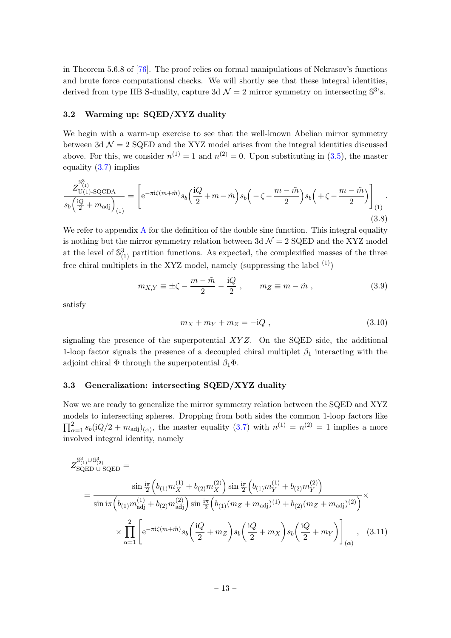in Theorem 5.6.8 of [\[76\]](#page-33-13). The proof relies on formal manipulations of Nekrasov's functions and brute force computational checks. We will shortly see that these integral identities, derived from type IIB S-duality, capture 3d  $\mathcal{N}=2$  mirror symmetry on intersecting  $\mathbb{S}^3$ 's.

#### <span id="page-13-0"></span>3.2 Warming up: SQED/XYZ duality

We begin with a warm-up exercise to see that the well-known Abelian mirror symmetry between 3d  $\mathcal{N} = 2$  SQED and the XYZ model arises from the integral identities discussed above. For this, we consider  $n^{(1)} = 1$  and  $n^{(2)} = 0$ . Upon substituting in [\(3.5\)](#page-12-0), the master equality [\(3.7\)](#page-12-1) implies

$$
\frac{Z_{\text{U(1)-SQCDA}}^{\mathbb{S}_{(1)}^3}}{s_b\left(\frac{\mathrm{i}Q}{2} + m_{\text{adj}}\right)_{(1)}} = \left[ e^{-\pi\mathrm{i}\zeta(m+\tilde{m})} s_b\left(\frac{\mathrm{i}Q}{2} + m - \tilde{m}\right) s_b\left(-\zeta - \frac{m - \tilde{m}}{2}\right) s_b\left(+\zeta - \frac{m - \tilde{m}}{2}\right) \right]_{(1)}.\tag{3.8}
$$

We refer to appendix  $A$  for the definition of the double sine function. This integral equality is nothing but the mirror symmetry relation between 3d  $\mathcal{N}=2$  SQED and the XYZ model at the level of  $\mathbb{S}^3_{(1)}$  partition functions. As expected, the complexified masses of the three free chiral multiplets in the XYZ model, namely (suppressing the label  $(1)$ )

$$
m_{X,Y} \equiv \pm \zeta - \frac{m - \tilde{m}}{2} - \frac{\mathrm{i}Q}{2} , \qquad m_Z \equiv m - \tilde{m} , \qquad (3.9)
$$

satisfy

$$
m_X + m_Y + m_Z = -iQ \t\t(3.10)
$$

signaling the presence of the superpotential  $XYZ$ . On the SQED side, the additional 1-loop factor signals the presence of a decoupled chiral multiplet  $\beta_1$  interacting with the adjoint chiral  $\Phi$  through the superpotential  $\beta_1\Phi$ .

#### <span id="page-13-1"></span>3.3 Generalization: intersecting SQED/XYZ duality

Now we are ready to generalize the mirror symmetry relation between the SQED and XYZ models to intersecting spheres. Dropping from both sides the common 1-loop factors like  $\prod_{\alpha=1}^2 s_b (iQ/2 + m_{\text{adj}})_{(\alpha)}$ , the master equality  $(3.7)$  with  $n^{(1)} = n^{(2)} = 1$  implies a more involved integral identity, namely

$$
Z_{\text{SQED U SQED}}^{\mathbb{S}_{(1)}^3 \cup \mathbb{S}_{(2)}^3} = \frac{\sin \frac{i\pi}{2} \left( b_{(1)} m_X^{(1)} + b_{(2)} m_X^{(2)} \right) \sin \frac{i\pi}{2} \left( b_{(1)} m_Y^{(1)} + b_{(2)} m_Y^{(2)} \right)}{\sin \frac{i\pi}{2} \left( b_{(1)} m_{\text{adj}}^{(1)} + b_{(2)} m_{\text{adj}}^{(2)} \right) \sin \frac{i\pi}{2} \left( b_{(1)} (m_Z + m_{\text{adj}})^{(1)} + b_{(2)} (m_Z + m_{\text{adj}})^{(2)} \right)}} \times \frac{1}{\sqrt{\sum_{\alpha=1}^{2}} \left[ e^{-\pi i \zeta (m + \tilde{m})} s_b \left( \frac{\mathrm{i} Q}{2} + m_Z \right) s_b \left( \frac{\mathrm{i} Q}{2} + m_X \right) s_b \left( \frac{\mathrm{i} Q}{2} + m_Y \right) \right]_{(\alpha)}}, \quad (3.11)
$$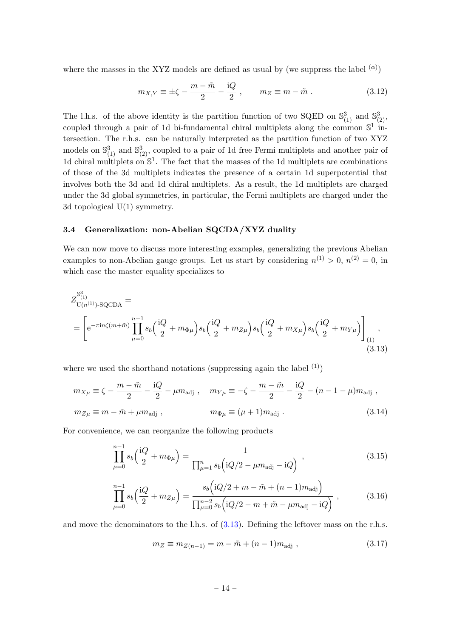where the masses in the XYZ models are defined as usual by (we suppress the label  $(α)$ )

$$
m_{X,Y} \equiv \pm \zeta - \frac{m - \tilde{m}}{2} - \frac{\mathrm{i}Q}{2} , \qquad m_Z \equiv m - \tilde{m} . \tag{3.12}
$$

The l.h.s. of the above identity is the partition function of two SQED on  $\mathbb{S}^3_{(1)}$  and  $\mathbb{S}^3_{(2)}$ , coupled through a pair of 1d bi-fundamental chiral multiplets along the common  $\mathbb{S}^1$  intersection. The r.h.s. can be naturally interpreted as the partition function of two XYZ models on  $\mathbb{S}^3_{(1)}$  and  $\mathbb{S}^3_{(2)}$ , coupled to a pair of 1d free Fermi multiplets and another pair of 1d chiral multiplets on  $\mathbb{S}^1$ . The fact that the masses of the 1d multiplets are combinations of those of the 3d multiplets indicates the presence of a certain 1d superpotential that involves both the 3d and 1d chiral multiplets. As a result, the 1d multiplets are charged under the 3d global symmetries, in particular, the Fermi multiplets are charged under the 3d topological U(1) symmetry.

#### <span id="page-14-0"></span>3.4 Generalization: non-Abelian SQCDA/XYZ duality

We can now move to discuss more interesting examples, generalizing the previous Abelian examples to non-Abelian gauge groups. Let us start by considering  $n^{(1)} > 0$ ,  $n^{(2)} = 0$ , in which case the master equality specializes to

$$
Z_{U(n^{(1)})\text{-}SQCDA}^{S_{(1)}^3} = \left[ e^{-\pi i n \zeta (m+\tilde{m})} \prod_{\mu=0}^{n-1} s_b \left( \frac{iQ}{2} + m_{\Phi\mu} \right) s_b \left( \frac{iQ}{2} + m_{Z\mu} \right) s_b \left( \frac{iQ}{2} + m_{X\mu} \right) s_b \left( \frac{iQ}{2} + m_{Y\mu} \right) \right]_{(1)} ,
$$
\n(3.13)

where we used the shorthand notations (suppressing again the label  $(1)$ )

$$
m_{X\mu} \equiv \zeta - \frac{m - \tilde{m}}{2} - \frac{\mathrm{i}Q}{2} - \mu m_{\text{adj}} , \quad m_{Y\mu} \equiv -\zeta - \frac{m - \tilde{m}}{2} - \frac{\mathrm{i}Q}{2} - (n - 1 - \mu) m_{\text{adj}} ,
$$
  

$$
m_{Z\mu} \equiv m - \tilde{m} + \mu m_{\text{adj}} , \qquad m_{\Phi\mu} \equiv (\mu + 1) m_{\text{adj}} . \tag{3.14}
$$

For convenience, we can reorganize the following products

<span id="page-14-1"></span>
$$
\prod_{\mu=0}^{n-1} s_b \left( \frac{\mathrm{i}Q}{2} + m_{\Phi\mu} \right) = \frac{1}{\prod_{\mu=1}^n s_b \left( \mathrm{i}Q/2 - \mu m_{\text{adj}} - \mathrm{i}Q \right)} ,\qquad(3.15)
$$

$$
\prod_{\mu=0}^{n-1} s_b \left( \frac{\mathrm{i}Q}{2} + m_{Z\mu} \right) = \frac{s_b \left( \mathrm{i}Q/2 + m - \tilde{m} + (n-1)m_{\text{adj}} \right)}{\prod_{\mu=0}^{n-2} s_b \left( \mathrm{i}Q/2 - m + \tilde{m} - \mu m_{\text{adj}} - \mathrm{i}Q \right)} ,\tag{3.16}
$$

and move the denominators to the l.h.s. of [\(3.13\)](#page-14-1). Defining the leftover mass on the r.h.s.

$$
m_Z \equiv m_{Z(n-1)} = m - \tilde{m} + (n-1)m_{\text{adj}} , \qquad (3.17)
$$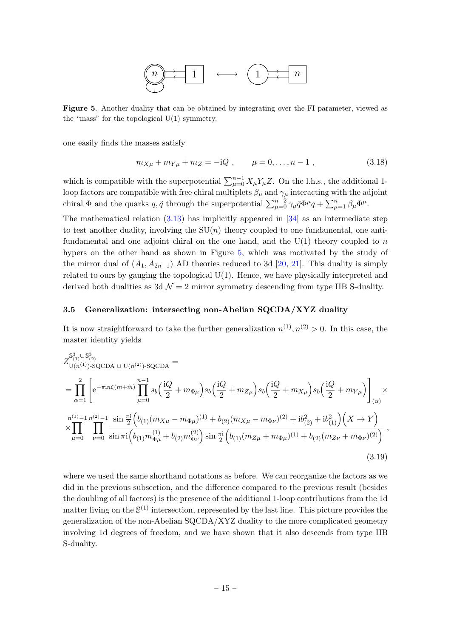

<span id="page-15-1"></span>Figure 5. Another duality that can be obtained by integrating over the FI parameter, viewed as the "mass" for the topological  $U(1)$  symmetry.

one easily finds the masses satisfy

$$
m_{X\mu} + m_{Y\mu} + m_Z = -iQ , \qquad \mu = 0, \dots, n-1 , \qquad (3.18)
$$

which is compatible with the superpotential  $\sum_{\mu=0}^{n-1} X_{\mu} Y_{\mu} Z$ . On the l.h.s., the additional 1loop factors are compatible with free chiral multiplets  $\beta_{\mu}$  and  $\gamma_{\mu}$  interacting with the adjoint chiral  $\Phi$  and the quarks  $q, \tilde{q}$  through the superpotential  $\sum_{\mu=0}^{n-2} \gamma_{\mu} \tilde{q} \Phi^{\mu} q + \sum_{\mu=1}^{n} \beta_{\mu} \Phi^{\mu}$ .

The mathematical relation  $(3.13)$  has implicitly appeared in  $[34]$  as an intermediate step to test another duality, involving the  $SU(n)$  theory coupled to one fundamental, one antifundamental and one adjoint chiral on the one hand, and the  $U(1)$  theory coupled to n hypers on the other hand as shown in Figure [5,](#page-15-1) which was motivated by the study of the mirror dual of  $(A_1, A_{2n-1})$  AD theories reduced to 3d [\[20,](#page-30-11) [21\]](#page-30-12). This duality is simply related to ours by gauging the topological U(1). Hence, we have physically interpreted and derived both dualities as  $3d \mathcal{N} = 2$  mirror symmetry descending from type IIB S-duality.

#### <span id="page-15-0"></span>3.5 Generalization: intersecting non-Abelian SQCDA/XYZ duality

It is now straightforward to take the further generalization  $n^{(1)}, n^{(2)} > 0$ . In this case, the master identity yields

$$
Z_{U(n^{(1)})\text{-}SQCDA\ \cup\ U(n^{(2)})\text{-}SQCDA}^{S_{(1)}^3=0} =\n\prod_{\alpha=1}^{2} \left[ e^{-\pi i n \zeta (m+\tilde{m})} \prod_{\mu=0}^{n-1} s_b \left( \frac{iQ}{2} + m_{\Phi\mu} \right) s_b \left( \frac{iQ}{2} + m_{Z\mu} \right) s_b \left( \frac{iQ}{2} + m_{X\mu} \right) s_b \left( \frac{iQ}{2} + m_{Y\mu} \right) \right]_{(\alpha)} \times
$$
\n
$$
\times \prod_{\mu=0}^{n^{(1)}-1} \prod_{\nu=0}^{n^{(2)}-1} \frac{\sin \frac{\pi i}{2} \left( b_{(1)} (m_{X\mu} - m_{\Phi\mu})^{(1)} + b_{(2)} (m_{X\mu} - m_{\Phi\nu})^{(2)} + i b_{(2)}^2 + i b_{(1)}^2 \right) \left( X \to Y \right)}{\sin \pi i \left( b_{(1)} m_{\Phi\mu}^{(1)} + b_{(2)} m_{\Phi\nu}^{(2)} \right) \sin \frac{\pi i}{2} \left( b_{(1)} (m_{Z\mu} + m_{\Phi\mu})^{(1)} + b_{(2)} (m_{Z\nu} + m_{\Phi\nu})^{(2)} \right)} \tag{3.19}
$$

where we used the same shorthand notations as before. We can reorganize the factors as we did in the previous subsection, and the difference compared to the previous result (besides the doubling of all factors) is the presence of the additional 1-loop contributions from the 1d matter living on the  $\mathbb{S}^{(1)}$  intersection, represented by the last line. This picture provides the generalization of the non-Abelian SQCDA/XYZ duality to the more complicated geometry involving 1d degrees of freedom, and we have shown that it also descends from type IIB S-duality.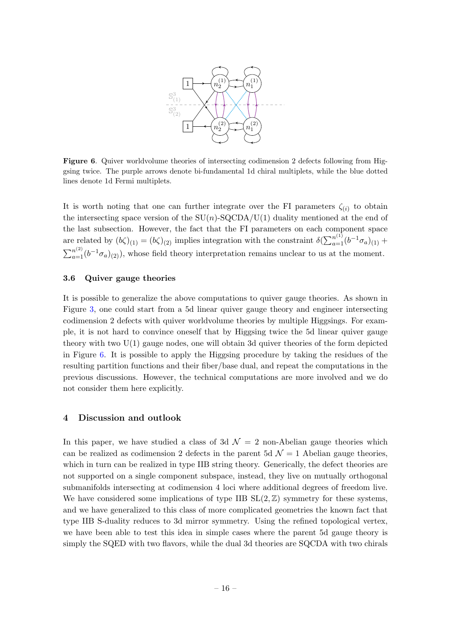

<span id="page-16-2"></span>Figure 6. Quiver worldvolume theories of intersecting codimension 2 defects following from Higgsing twice. The purple arrows denote bi-fundamental 1d chiral multiplets, while the blue dotted lines denote 1d Fermi multiplets.

It is worth noting that one can further integrate over the FI parameters  $\zeta_{(i)}$  to obtain the intersecting space version of the  $SU(n)$ -SQCDA/U(1) duality mentioned at the end of the last subsection. However, the fact that the FI parameters on each component space are related by  $(b\zeta)_{(1)} = (b\zeta)_{(2)}$  implies integration with the constraint  $\delta(\sum_{a=1}^{n^{(1)}} (b^{-1}\sigma_a)_{(1)} +$  $\sum_{a=1}^{n^{(2)}} (b^{-1} \sigma_a)_{(2)}$ , whose field theory interpretation remains unclear to us at the moment.

#### <span id="page-16-0"></span>3.6 Quiver gauge theories

It is possible to generalize the above computations to quiver gauge theories. As shown in Figure [3,](#page-9-1) one could start from a 5d linear quiver gauge theory and engineer intersecting codimension 2 defects with quiver worldvolume theories by multiple Higgsings. For example, it is not hard to convince oneself that by Higgsing twice the 5d linear quiver gauge theory with two U(1) gauge nodes, one will obtain 3d quiver theories of the form depicted in Figure [6.](#page-16-2) It is possible to apply the Higgsing procedure by taking the residues of the resulting partition functions and their fiber/base dual, and repeat the computations in the previous discussions. However, the technical computations are more involved and we do not consider them here explicitly.

#### <span id="page-16-1"></span>4 Discussion and outlook

In this paper, we have studied a class of 3d  $\mathcal{N}=2$  non-Abelian gauge theories which can be realized as codimension 2 defects in the parent 5d  $\mathcal{N}=1$  Abelian gauge theories, which in turn can be realized in type IIB string theory. Generically, the defect theories are not supported on a single component subspace, instead, they live on mutually orthogonal submanifolds intersecting at codimension 4 loci where additional degrees of freedom live. We have considered some implications of type IIB  $SL(2, \mathbb{Z})$  symmetry for these systems, and we have generalized to this class of more complicated geometries the known fact that type IIB S-duality reduces to 3d mirror symmetry. Using the refined topological vertex, we have been able to test this idea in simple cases where the parent 5d gauge theory is simply the SQED with two flavors, while the dual 3d theories are SQCDA with two chirals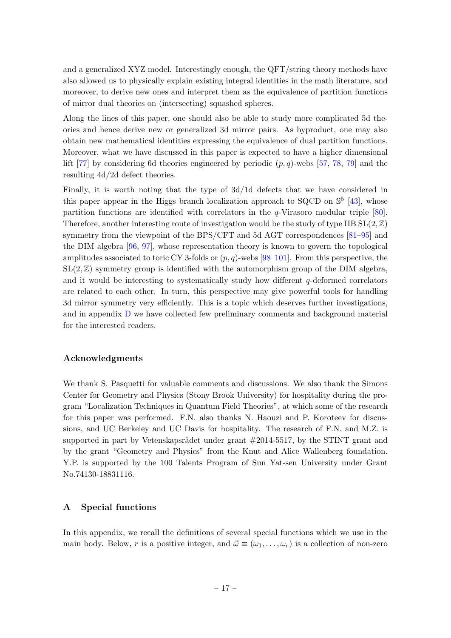and a generalized XYZ model. Interestingly enough, the QFT/string theory methods have also allowed us to physically explain existing integral identities in the math literature, and moreover, to derive new ones and interpret them as the equivalence of partition functions of mirror dual theories on (intersecting) squashed spheres.

Along the lines of this paper, one should also be able to study more complicated 5d theories and hence derive new or generalized 3d mirror pairs. As byproduct, one may also obtain new mathematical identities expressing the equivalence of dual partition functions. Moreover, what we have discussed in this paper is expected to have a higher dimensional lift [\[77\]](#page-33-14) by considering 6d theories engineered by periodic  $(p, q)$ -webs [\[57,](#page-32-4) [78,](#page-33-15) [79\]](#page-33-16) and the resulting 4d/2d defect theories.

Finally, it is worth noting that the type of 3d/1d defects that we have considered in this paper appear in the Higgs branch localization approach to SQCD on  $\mathbb{S}^5$  [\[43\]](#page-32-0), whose partition functions are identified with correlators in the q-Virasoro modular triple [\[80\]](#page-33-17). Therefore, another interesting route of investigation would be the study of type IIB  $SL(2,\mathbb{Z})$ symmetry from the viewpoint of the BPS/CFT and 5d AGT correspondences [\[81–](#page-34-0)[95\]](#page-34-1) and the DIM algebra [\[96,](#page-34-2) [97\]](#page-34-3), whose representation theory is known to govern the topological amplitudes associated to toric CY 3-folds or  $(p, q)$ -webs [\[98](#page-34-4)[–101\]](#page-35-0). From this perspective, the  $SL(2, \mathbb{Z})$  symmetry group is identified with the automorphism group of the DIM algebra, and it would be interesting to systematically study how different q-deformed correlators are related to each other. In turn, this perspective may give powerful tools for handling 3d mirror symmetry very efficiently. This is a topic which deserves further investigations, and in appendix [D](#page-26-0) we have collected few preliminary comments and background material for the interested readers.

#### Acknowledgments

We thank S. Pasquetti for valuable comments and discussions. We also thank the Simons Center for Geometry and Physics (Stony Brook University) for hospitality during the program "Localization Techniques in Quantum Field Theories", at which some of the research for this paper was performed. F.N. also thanks N. Haouzi and P. Koroteev for discussions, and UC Berkeley and UC Davis for hospitality. The research of F.N. and M.Z. is supported in part by Vetenskapsrådet under grant  $\#2014$ -5517, by the STINT grant and by the grant "Geometry and Physics" from the Knut and Alice Wallenberg foundation. Y.P. is supported by the 100 Talents Program of Sun Yat-sen University under Grant No.74130-18831116.

#### <span id="page-17-0"></span>A Special functions

In this appendix, we recall the definitions of several special functions which we use in the main body. Below, r is a positive integer, and  $\vec{\omega} \equiv (\omega_1, \ldots, \omega_r)$  is a collection of non-zero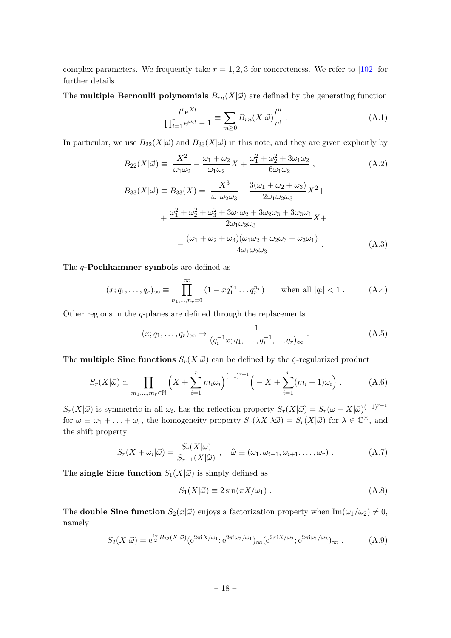complex parameters. We frequently take  $r = 1, 2, 3$  for concreteness. We refer to [\[102\]](#page-35-1) for further details.

The **multiple Bernoulli polynomials**  $B_{rn}(X|\vec{\omega})$  are defined by the generating function

$$
\frac{t^r e^{Xt}}{\prod_{i=1}^r e^{\omega_i t} - 1} \equiv \sum_{m \ge 0} B_{rn}(X|\vec{\omega}) \frac{t^n}{n!} . \tag{A.1}
$$

In particular, we use  $B_{22}(X|\vec{\omega})$  and  $B_{33}(X|\vec{\omega})$  in this note, and they are given explicitly by

$$
B_{22}(X|\vec{\omega}) \equiv \frac{X^2}{\omega_1 \omega_2} - \frac{\omega_1 + \omega_2}{\omega_1 \omega_2} X + \frac{\omega_1^2 + \omega_2^2 + 3\omega_1 \omega_2}{6\omega_1 \omega_2} ,
$$
\n(A.2)\n
$$
B_{33}(X|\vec{\omega}) \equiv B_{33}(X) = \frac{X^3}{\omega_1 \omega_2 \omega_3} - \frac{3(\omega_1 + \omega_2 + \omega_3)}{2\omega_1 \omega_2 \omega_3} X^2 +
$$

$$
+\frac{\omega_1^2 + \omega_2^2 + \omega_3^2 + 3\omega_1\omega_2 + 3\omega_2\omega_3 + 3\omega_3\omega_1}{2\omega_1\omega_2\omega_3}X +-\frac{(\omega_1 + \omega_2 + \omega_3)(\omega_1\omega_2 + \omega_2\omega_3 + \omega_3\omega_1)}{4\omega_1\omega_2\omega_3}.
$$
 (A.3)

The q-Pochhammer symbols are defined as

$$
(x; q_1, \dots, q_r)_{\infty} \equiv \prod_{n_1, \dots, n_r=0}^{\infty} (1 - x q_1^{n_1} \dots q_r^{n_r}) \quad \text{when all } |q_i| < 1.
$$
 (A.4)

Other regions in the q-planes are defined through the replacements

$$
(x;q_1,\ldots,q_r)_{\infty} \to \frac{1}{(q_i^{-1}x;q_1,\ldots,q_i^{-1},...,q_r)_{\infty}}.
$$
 (A.5)

The **multiple Sine functions**  $S_r(X|\vec{\omega})$  can be defined by the  $\zeta$ -regularized product

$$
S_r(X|\vec{\omega}) \simeq \prod_{m_1,\dots,m_r \in \mathbb{N}} \left( X + \sum_{i=1}^r m_i \omega_i \right)^{(-1)^{r+1}} \left( -X + \sum_{i=1}^r (m_i + 1)\omega_i \right). \tag{A.6}
$$

 $S_r(X|\vec{\omega})$  is symmetric in all  $\omega_i$ , has the reflection property  $S_r(X|\vec{\omega}) = S_r(\omega - X|\vec{\omega})^{(-1)^{r+1}}$ for  $\omega \equiv \omega_1 + \ldots + \omega_r$ , the homogeneity property  $S_r(\lambda X | \lambda \vec{\omega}) = S_r(X | \vec{\omega})$  for  $\lambda \in \mathbb{C}^\times$ , and the shift property

$$
S_r(X + \omega_i|\vec{\omega}) = \frac{S_r(X|\vec{\omega})}{S_{r-1}(X|\hat{\omega})}, \quad \hat{\omega} \equiv (\omega_1, \omega_{i-1}, \omega_{i+1}, \dots, \omega_r).
$$
 (A.7)

The single Sine function  $S_1(X|\vec{\omega})$  is simply defined as

$$
S_1(X|\vec{\omega}) \equiv 2\sin(\pi X/\omega_1) \tag{A.8}
$$

The **double Sine function**  $S_2(x|\vec{\omega})$  enjoys a factorization property when  $\text{Im}(\omega_1/\omega_2) \neq 0$ , namely

$$
S_2(X|\vec{\omega}) = e^{\frac{i\pi}{2}B_{22}(X|\vec{\omega})} (e^{2\pi i X/\omega_1}; e^{2\pi i \omega_2/\omega_1})_\infty (e^{2\pi i X/\omega_2}; e^{2\pi i \omega_1/\omega_2})_\infty.
$$
 (A.9)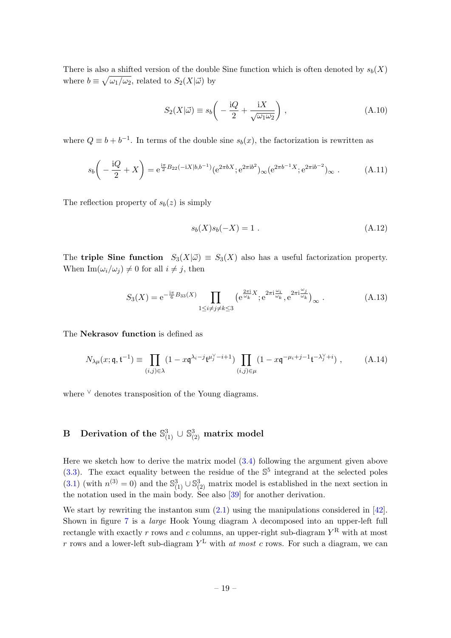There is also a shifted version of the double Sine function which is often denoted by  $s<sub>b</sub>(X)$ where  $b \equiv \sqrt{\omega_1/\omega_2}$ , related to  $S_2(X|\vec{\omega})$  by

$$
S_2(X|\vec{\omega}) \equiv s_b \left( -\frac{\mathrm{i}Q}{2} + \frac{\mathrm{i}X}{\sqrt{\omega_1 \omega_2}} \right) ,\qquad (A.10)
$$

where  $Q \equiv b + b^{-1}$ . In terms of the double sine  $s_b(x)$ , the factorization is rewritten as

$$
s_b\left(-\frac{\mathrm{i}Q}{2}+X\right) = \mathrm{e}^{\frac{\mathrm{i}\pi}{2}B_{22}(-\mathrm{i}X|b,b^{-1})}(\mathrm{e}^{2\pi bX};\mathrm{e}^{2\pi\mathrm{i}b^2})_{\infty}(\mathrm{e}^{2\pi b^{-1}X};\mathrm{e}^{2\pi\mathrm{i}b^{-2}})_{\infty}.
$$
 (A.11)

The reflection property of  $s_b(z)$  is simply

<span id="page-19-1"></span>
$$
s_b(X)s_b(-X) = 1.
$$
\n(A.12)

The **triple Sine function**  $S_3(X|\vec{\omega}) \equiv S_3(X)$  also has a useful factorization property. When  $\text{Im}(\omega_i/\omega_j) \neq 0$  for all  $i \neq j$ , then

$$
S_3(X) = e^{-\frac{i\pi}{6}B_{33}(X)} \prod_{1 \le i \ne j \ne k \le 3} \left( e^{\frac{2\pi i}{\omega_k}X} ; e^{2\pi i \frac{\omega_i}{\omega_k}}, e^{2\pi i \frac{\omega_j}{\omega_k}} \right)_{\infty}.
$$
 (A.13)

The Nekrasov function is defined as

$$
N_{\lambda\mu}(x; \mathfrak{q}, \mathfrak{t}^{-1}) \equiv \prod_{(i,j)\in\lambda} (1 - x\mathfrak{q}^{\lambda_i - j} \mathfrak{t}^{\mu_j^{\vee} - i + 1}) \prod_{(i,j)\in\mu} (1 - x\mathfrak{q}^{-\mu_i + j - 1} \mathfrak{t}^{-\lambda_j^{\vee} + i}) ,
$$
 (A.14)

where  $\vee$  denotes transposition of the Young diagrams.

## <span id="page-19-0"></span> $\, {\bf B} \, \quad {\rm Derivation \,\, of \,\, the \,\, \mathbb{S}^3_{(1)} \, \cup \, \mathbb{S}^3_{(2)} \,\, {\rm matrix} \,\, {\rm model}$

Here we sketch how to derive the matrix model  $(3.4)$  following the argument given above  $(3.3)$ . The exact equality between the residue of the  $\mathbb{S}^5$  integrand at the selected poles [\(3.1\)](#page-9-2) (with  $n^{(3)} = 0$ ) and the  $\mathbb{S}_{(1)}^3 \cup \mathbb{S}_{(2)}^3$  matrix model is established in the next section in the notation used in the main body. See also [\[39\]](#page-31-14) for another derivation.

We start by rewriting the instanton sum  $(2.1)$  using the manipulations considered in [\[42\]](#page-31-15). Shown in figure [7](#page-20-0) is a *large* Hook Young diagram  $\lambda$  decomposed into an upper-left full rectangle with exactly r rows and c columns, an upper-right sub-diagram  $Y^R$  with at most r rows and a lower-left sub-diagram  $Y^L$  with at most c rows. For such a diagram, we can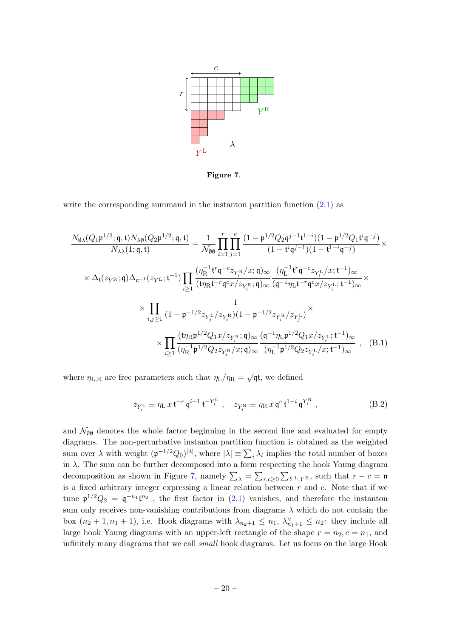

<span id="page-20-0"></span>Figure 7.

write the corresponding summand in the instanton partition function  $(2.1)$  as

$$
\frac{N_{\emptyset\lambda}(Q_{1}\mathfrak{p}^{1/2};\mathfrak{q},t)N_{\lambda\emptyset}(Q_{2}\mathfrak{p}^{1/2};\mathfrak{q},t)}{N_{\lambda\lambda}(1;\mathfrak{q},t)} = \frac{1}{\mathcal{N}_{\emptyset\emptyset}} \prod_{i=1}^{r} \prod_{j=1}^{c} \frac{(1-\mathfrak{p}^{1/2}Q_{2}\mathfrak{q}^{j-1}t^{1-i})(1-\mathfrak{p}^{1/2}Q_{1}t^{i}\mathfrak{q}^{-j})}{(1-t^{i}\mathfrak{q}^{j-1})(1-t^{1-i}\mathfrak{q}^{-j})} \times
$$
\n
$$
\times \Delta_{t}(z_{Y^{\mathbf{R}}};\mathfrak{q})\Delta_{\mathfrak{q}^{-1}}(z_{Y^{\mathbf{L}}};t^{-1}) \prod_{i\geq 1} \frac{(\eta_{\mathbf{R}}^{-1}t^{r}\mathfrak{q}^{-c}z_{Y_{i}^{\mathbf{R}}}/x;\mathfrak{q})_{\infty}}{(t\eta_{\mathbf{R}}t^{-r}\mathfrak{q}^{c}x/z_{Y_{i}^{\mathbf{R}}};\mathfrak{q})_{\infty}} \frac{(\eta_{\mathbf{L}}^{-1}t^{r}\mathfrak{q}^{-c}z_{Y_{i}^{\mathbf{L}}}/x;t^{-1})_{\infty}}{(\mathfrak{q}^{-1}\eta_{\mathbf{L}}t^{-r}\mathfrak{q}^{c}x/z_{Y_{i}^{\mathbf{L}}};t^{-1})_{\infty}} \times \prod_{i,j\geq 1} \frac{1}{(1-\mathfrak{p}^{-1/2}z_{Y_{j}^{\mathbf{L}}}/z_{Y_{i}^{\mathbf{R}}})(1-\mathfrak{p}^{-1/2}z_{Y_{i}^{\mathbf{R}}}/z_{Y_{j}^{\mathbf{L}}})} \times \prod_{i\geq 1} \frac{(t\eta_{\mathbf{R}}\mathfrak{p}^{1/2}Q_{1}x/z_{Y_{i}^{\mathbf{R}}};\mathfrak{q})_{\infty}}{(\eta_{\mathbf{L}}^{-1}\mathfrak{p}^{1/2}Q_{2}z_{Y_{i}^{\mathbf{L}}}/x;t^{-1})_{\infty}} \cdot (B.1)
$$

where  $\eta_{L,R}$  are free parameters such that  $\eta_L/\eta_R = \sqrt{\mathfrak{q}\mathfrak{t}}$ , we defined

$$
z_{Y_i^{\rm L}} \equiv \eta_{\rm L} x \, \mathfrak{t}^{-r} \, \mathfrak{q}^{i-1} \, \mathfrak{t}^{-Y_i^{\rm L}} \;, \quad z_{Y_i^{\rm R}} \equiv \eta_{\rm R} x \, \mathfrak{q}^c \, \mathfrak{t}^{1-i} \, \mathfrak{q}^{Y_i^{\rm R}} \;, \tag{B.2}
$$

and  $\mathcal{N}_{\emptyset\emptyset}$  denotes the whole factor beginning in the second line and evaluated for empty diagrams. The non-perturbative instanton partition function is obtained as the weighted sum over  $\lambda$  with weight  $(\mathfrak{p}^{-1/2}Q_0)^{|\lambda|}$ , where  $|\lambda| \equiv \sum_i \lambda_i$  implies the total number of boxes in  $\lambda$ . The sum can be further decomposed into a form respecting the hook Young diagram decomposition as shown in Figure [7,](#page-20-0) namely  $\sum_{\lambda} = \sum_{r,c\geq 0} \sum_{Y} L_{,Y} R$ , such that  $r - c = \mathfrak{n}$ is a fixed arbitrary integer expressing a linear relation between  $r$  and  $c$ . Note that if we tune  $\mathfrak{p}^{1/2}Q_2 = \mathfrak{q}^{-n_1} \mathfrak{t}^{n_2}$ , the first factor in [\(2.1\)](#page-4-1) vanishes, and therefore the instanton sum only receives non-vanishing contributions from diagrams  $\lambda$  which do not contain the box  $(n_2+1, n_1+1)$ , i.e. Hook diagrams with  $\lambda_{n_2+1} \leq n_1$ ,  $\lambda_{n_1+1}^{\vee} \leq n_2$ : they include all large hook Young diagrams with an upper-left rectangle of the shape  $r = n_2, c = n_1$ , and infinitely many diagrams that we call small hook diagrams. Let us focus on the large Hook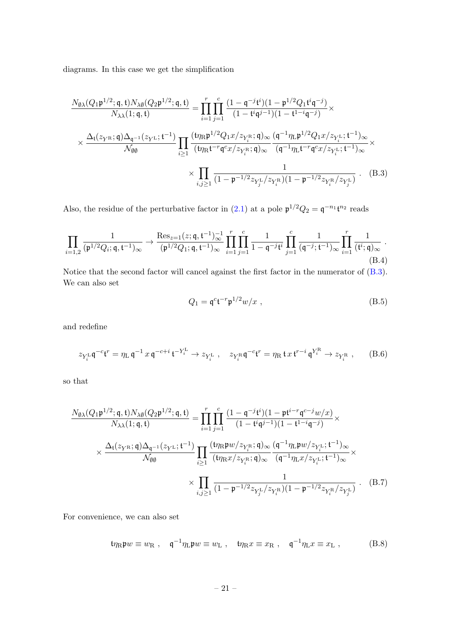diagrams. In this case we get the simplification

$$
\frac{N_{\emptyset\lambda}(Q_{1}\mathfrak{p}^{1/2};\mathfrak{q},t)N_{\lambda\emptyset}(Q_{2}\mathfrak{p}^{1/2};\mathfrak{q},t)}{N_{\lambda\lambda}(1;\mathfrak{q},t)} = \prod_{i=1}^{r} \prod_{j=1}^{c} \frac{(1-\mathfrak{q}^{-j}t^{i})(1-\mathfrak{p}^{1/2}Q_{1}t^{i}\mathfrak{q}^{-j})}{(1-t^{i}\mathfrak{q}^{j-1})(1-t^{1-i}\mathfrak{q}^{-j})} \times
$$
\n
$$
\times \frac{\Delta_{t}(z_{Y^{R}};\mathfrak{q})\Delta_{\mathfrak{q}^{-1}}(z_{Y^{L}};\mathfrak{t}^{-1})}{N_{\emptyset\emptyset}} \prod_{i\geq 1} \frac{(\mathfrak{t}\eta_{R}\mathfrak{p}^{1/2}Q_{1}x/z_{Y^{R}};\mathfrak{q})_{\infty}}{(\mathfrak{q}^{-1}\eta_{L}\mathfrak{p}^{1/2}Q_{1}x/z_{Y^{L}};\mathfrak{t}^{-1})_{\infty}} \times \prod_{i,j\geq 1} \frac{1}{(1-\mathfrak{p}^{-1/2}z_{Y^{L}_{j}}/z_{Y^{R}})(1-\mathfrak{p}^{-1/2}z_{Y^{R}}/z_{Y^{L}})}.
$$
\n(B.3)

Also, the residue of the perturbative factor in [\(2.1\)](#page-4-1) at a pole  $\mathfrak{p}^{1/2}Q_2 = \mathfrak{q}^{-n_1} \mathfrak{t}^{n_2}$  reads

<span id="page-21-1"></span>
$$
\prod_{i=1,2} \frac{1}{(\mathfrak{p}^{1/2} Q_i; \mathfrak{q}, \mathfrak{t}^{-1})_{\infty}} \to \frac{\text{Res}_{z=1}(z; \mathfrak{q}, \mathfrak{t}^{-1})_{\infty}^{-1}}{(\mathfrak{p}^{1/2} Q_1; \mathfrak{q}, \mathfrak{t}^{-1})_{\infty}} \prod_{i=1}^r \prod_{j=1}^c \frac{1}{1 - \mathfrak{q}^{-j} \mathfrak{t}^i} \prod_{j=1}^c \frac{1}{(\mathfrak{q}^{-j}; \mathfrak{t}^{-1})_{\infty}} \prod_{i=1}^r \frac{1}{(\mathfrak{t}^i; \mathfrak{q})_{\infty}}.
$$
\n(B.4)

Notice that the second factor will cancel against the first factor in the numerator of [\(B.3\)](#page-21-0). We can also set

<span id="page-21-0"></span>
$$
Q_1 = \mathfrak{q}^c \mathfrak{t}^{-r} \mathfrak{p}^{1/2} w/x , \qquad (B.5)
$$

and redefine

$$
z_{Y_i^{\mathrm{L}}} \mathfrak{q}^{-c} \mathfrak{t}^r = \eta_{\mathrm{L}} \mathfrak{q}^{-1} x \mathfrak{q}^{-c+i} \mathfrak{t}^{-Y_i^{\mathrm{L}}} \to z_{Y_i^{\mathrm{L}}}, \quad z_{Y_i^{\mathrm{R}}} \mathfrak{q}^{-c} \mathfrak{t}^r = \eta_{\mathrm{R}} \mathfrak{t} x \mathfrak{t}^{r-i} \mathfrak{q}^{Y_i^{\mathrm{R}}} \to z_{Y_i^{\mathrm{R}}}, \qquad (B.6)
$$

so that

$$
\frac{N_{\emptyset\lambda}(Q_{1}\mathfrak{p}^{1/2};\mathfrak{q},t)N_{\lambda\emptyset}(Q_{2}\mathfrak{p}^{1/2};\mathfrak{q},t)}{N_{\lambda\lambda}(1;\mathfrak{q},t)} = \prod_{i=1}^{r} \prod_{j=1}^{c} \frac{(1-\mathfrak{q}^{-j}t^{i})(1-\mathfrak{p}t^{i-r}\mathfrak{q}^{c-j}w/x)}{(1-t^{i}\mathfrak{q}^{j-1})(1-t^{1-i}\mathfrak{q}^{-j})} \times \times \frac{\Delta_{t}(z_{Y^{R}};\mathfrak{q})\Delta_{\mathfrak{q}^{-1}}(z_{Y^{L}};\mathfrak{t}^{-1})}{N_{\emptyset\emptyset}} \prod_{i\geq 1} \frac{(\mathfrak{t}\eta_{R}\mathfrak{p}w/z_{Y_{i}^{R}};\mathfrak{q})_{\infty}}{(\mathfrak{t}\eta_{R}x/z_{Y_{i}^{R}};\mathfrak{q})_{\infty}} \frac{(\mathfrak{q}^{-1}\eta_{L}\mathfrak{p}w/z_{Y_{i}^{L}};\mathfrak{t}^{-1})_{\infty}}{(\mathfrak{q}^{-1}\eta_{L}x/z_{Y_{i}^{L}};\mathfrak{t}^{-1})_{\infty}} \times \times \prod_{i,j\geq 1} \frac{1}{(1-\mathfrak{p}^{-1/2}z_{Y_{j}^{L}}/z_{Y_{i}^{R}})(1-\mathfrak{p}^{-1/2}z_{Y_{i}^{R}}/z_{Y_{j}^{L}})}.
$$
(B.7)

For convenience, we can also set

$$
t\eta_{\rm R}\mathfrak{p}w \equiv w_{\rm R} \ , \quad \mathfrak{q}^{-1}\eta_{\rm L}\mathfrak{p}w \equiv w_{\rm L} \ , \quad t\eta_{\rm R}x \equiv x_{\rm R} \ , \quad \mathfrak{q}^{-1}\eta_{\rm L}x \equiv x_{\rm L} \ , \tag{B.8}
$$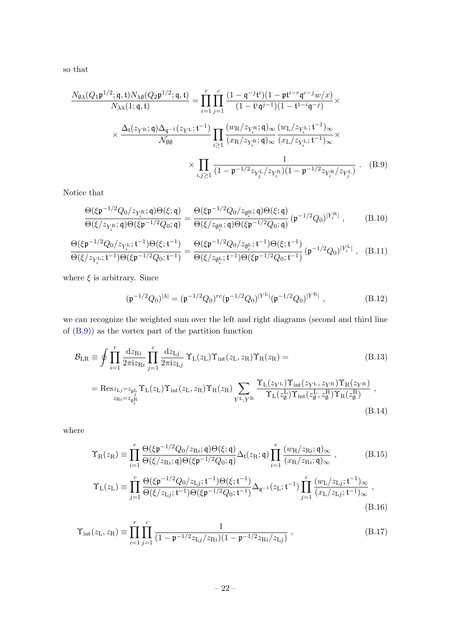so that

$$
\frac{N_{\emptyset\lambda}(Q_{1}\mathfrak{p}^{1/2};\mathfrak{q},t)N_{\lambda\emptyset}(Q_{2}\mathfrak{p}^{1/2};\mathfrak{q},t)}{N_{\lambda\lambda}(1;\mathfrak{q},t)} = \prod_{i=1}^{r} \prod_{j=1}^{c} \frac{(1-\mathfrak{q}^{-j}t^{i})(1-\mathfrak{p}t^{i-r}\mathfrak{q}^{c-j}w/x)}{(1-t^{i}\mathfrak{q}^{j-1})(1-t^{1-i}\mathfrak{q}^{-j})} \times \times \frac{\Delta_{t}(z_{Y^{R}};\mathfrak{q})\Delta_{\mathfrak{q}^{-1}}(z_{Y^{L}};\mathfrak{t}^{-1})}{N_{\emptyset\emptyset}} \prod_{i\geq 1} \frac{(w_{R}/z_{Y_{i}^{R}};\mathfrak{q})_{\infty}(w_{L}/z_{Y_{i}^{L}};\mathfrak{t}^{-1})_{\infty}}{(x_{L}/z_{Y_{i}^{L}};\mathfrak{t}^{-1})_{\infty}} \times \times \prod_{i,j\geq 1} \frac{1}{(1-\mathfrak{p}^{-1/2}z_{Y_{j}^{L}}/z_{Y_{i}^{R}})(1-\mathfrak{p}^{-1/2}z_{Y_{i}^{R}}/z_{Y_{j}^{L}})}.
$$
(B.9)

Notice that

$$
\frac{\Theta(\xi \mathfrak{p}^{-1/2} Q_0/z_{Y_i^R}; \mathfrak{q}) \Theta(\xi; \mathfrak{q})}{\Theta(\xi/z_{Y_i^R}; \mathfrak{q}) \Theta(\xi \mathfrak{p}^{-1/2} Q_0; \mathfrak{q})} = \frac{\Theta(\xi \mathfrak{p}^{-1/2} Q_0/z_{\emptyset_i^R}; \mathfrak{q}) \Theta(\xi; \mathfrak{q})}{\Theta(\xi/z_{\emptyset_i^R}; \mathfrak{q}) \Theta(\xi \mathfrak{p}^{-1/2} Q_0; \mathfrak{q})} (\mathfrak{p}^{-1/2} Q_0)^{|Y_i^R|}, \quad (B.10)
$$

$$
\frac{\Theta(\xi \mathfrak{p}^{-1/2} Q_0/z_{Y_i^{\mathrm{L}}};\mathfrak{t}^{-1})\Theta(\xi;\mathfrak{t}^{-1})}{\Theta(\xi/z_{Y_i^{\mathrm{L}}};\mathfrak{t}^{-1})\Theta(\xi \mathfrak{p}^{-1/2} Q_0;\mathfrak{t}^{-1})} = \frac{\Theta(\xi \mathfrak{p}^{-1/2} Q_0/z_{\emptyset_i^{\mathrm{L}}};\mathfrak{t}^{-1})\Theta(\xi;\mathfrak{t}^{-1})}{\Theta(\xi/z_{\emptyset_i^{\mathrm{L}}};\mathfrak{t}^{-1})\Theta(\xi \mathfrak{p}^{-1/2} Q_0;\mathfrak{t}^{-1})} \left(\mathfrak{p}^{-1/2} Q_0\right)^{|Y_i^{\mathrm{L}}|}, \quad \text{(B.11)}
$$

where  $\xi$  is arbitrary. Since

<span id="page-22-1"></span><span id="page-22-0"></span>
$$
(\mathfrak{p}^{-1/2}Q_0)^{|\lambda|} = (\mathfrak{p}^{-1/2}Q_0)^{rc} (\mathfrak{p}^{-1/2}Q_0)^{|Y^L|} (\mathfrak{p}^{-1/2}Q_0)^{|Y^R|}, \qquad (B.12)
$$

we can recognize the weighted sum over the left and right diagrams (second and third line of [\(B.9\)](#page-22-0)) as the vortex part of the partition function

$$
\mathcal{B}_{LR} \equiv \oint \prod_{i=1}^{r} \frac{\mathrm{d}z_{\mathrm{R}i}}{2\pi i z_{\mathrm{R}i}} \prod_{j=1}^{c} \frac{\mathrm{d}z_{\mathrm{L}j}}{2\pi i z_{\mathrm{L}j}} \Upsilon_{\mathrm{L}}(z_{\mathrm{L}}) \Upsilon_{\mathrm{int}}(z_{\mathrm{L}}, z_{\mathrm{R}}) \Upsilon_{\mathrm{R}}(z_{\mathrm{R}}) =
$$
\n(B.13)  
\n
$$
= \text{Res}_{z_{\mathrm{L}j} = z_{\phi_{j}^{\mathrm{L}}}} \Upsilon_{\mathrm{L}}(z_{\mathrm{L}}) \Upsilon_{\mathrm{int}}(z_{\mathrm{L}}, z_{\mathrm{R}}) \Upsilon_{\mathrm{R}}(z_{\mathrm{R}}) \sum_{Y^{\mathrm{L}}, Y^{\mathrm{R}}} \frac{\Upsilon_{\mathrm{L}}(z_{Y^{\mathrm{L}}}) \Upsilon_{\mathrm{int}}(z_{Y^{\mathrm{L}}}, z_{Y^{\mathrm{R}}}) \Upsilon_{\mathrm{R}}(z_{Y^{\mathrm{R}}})}{\Upsilon_{\mathrm{L}}(z_{\phi}^{\mathrm{L}}) \Upsilon_{\mathrm{int}}(z_{\phi}^{\mathrm{L}}, z_{\phi}^{\mathrm{R}}) \Upsilon_{\mathrm{R}}(z_{\phi}^{\mathrm{R}})},
$$
\n(B.14)

where

$$
\Upsilon_{\rm R}(z_{\rm R}) \equiv \prod_{i=1}^{r} \frac{\Theta(\xi \mathfrak{p}^{-1/2} Q_0/z_{\rm Ri}; \mathfrak{q}) \Theta(\xi; \mathfrak{q})}{\Theta(\xi/z_{\rm Ri}; \mathfrak{q}) \Theta(\xi \mathfrak{p}^{-1/2} Q_0; \mathfrak{q})} \Delta_{\mathfrak{t}}(z_{\rm R}; \mathfrak{q}) \prod_{i=1}^{r} \frac{(w_{\rm R}/z_{\rm Ri}; \mathfrak{q})_{\infty}}{(x_{\rm R}/z_{\rm Ri}; \mathfrak{q})_{\infty}} ,
$$
(B.15)

$$
\Upsilon_{\rm L}(z_{\rm L}) \equiv \prod_{j=1}^{c} \frac{\Theta(\xi \mathfrak{p}^{-1/2} Q_0/z_{\rm Lj}; \mathfrak{t}^{-1}) \Theta(\xi; \mathfrak{t}^{-1})}{\Theta(\xi/z_{\rm Lj}; \mathfrak{t}^{-1}) \Theta(\xi \mathfrak{p}^{-1/2} Q_0; \mathfrak{t}^{-1})} \Delta_{\mathfrak{q}^{-1}}(z_{\rm L}; \mathfrak{t}^{-1}) \prod_{j=1}^{c} \frac{(w_{\rm L}/z_{\rm Lj}; \mathfrak{t}^{-1})_{\infty}}{(x_{\rm L}/z_{\rm Lj}; \mathfrak{t}^{-1})_{\infty}},
$$
\n(B.16)

$$
\Upsilon_{\rm int}(z_{\rm L}, z_{\rm R}) \equiv \prod_{i=1}^{r} \prod_{j=1}^{c} \frac{1}{(1 - \mathfrak{p}^{-1/2} z_{\rm Lj}/z_{\rm Ri})(1 - \mathfrak{p}^{-1/2} z_{\rm Ri}/z_{\rm Lj})}, \qquad (B.17)
$$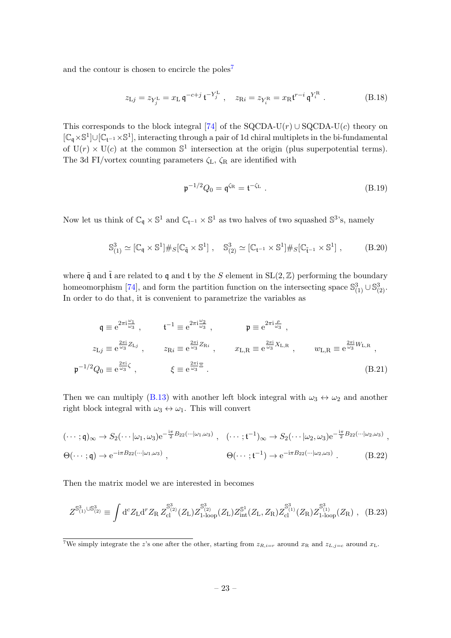and the contour is chosen to encircle the poles<sup>[7](#page-0-0)</sup>

$$
z_{\text{L}j} = z_{Y_j^{\text{L}}} = x_{\text{L}} \, \mathfrak{q}^{-c+j} \, \mathfrak{t}^{-Y_j^{\text{L}}}, \quad z_{\text{R}i} = z_{Y_i^{\text{R}}} = x_{\text{R}} \mathfrak{t}^{r-i} \, \mathfrak{q}^{Y_i^{\text{R}}}. \tag{B.18}
$$

This corresponds to the block integral [\[74\]](#page-33-18) of the SQCDA-U(r) ∪ SQCDA-U(c) theory on [ $\mathbb{C}_{\mathfrak{q}} \times \mathbb{S}^1$ ]∪[ $\mathbb{C}_{\mathfrak{t}^{-1}} \times \mathbb{S}^1$ ], interacting through a pair of 1d chiral multiplets in the bi-fundamental of  $U(r) \times U(c)$  at the common  $\mathbb{S}^1$  intersection at the origin (plus superpotential terms). The 3d FI/vortex counting parameters  $\zeta_L$ ,  $\zeta_R$  are identified with

$$
\mathfrak{p}^{-1/2}Q_0 = \mathfrak{q}^{\zeta_{\mathcal{R}}} = \mathfrak{t}^{-\zeta_{\mathcal{L}}} \ . \tag{B.19}
$$

Now let us think of  $\mathbb{C}_{\mathfrak{q}} \times \mathbb{S}^1$  and  $\mathbb{C}_{\mathfrak{t}^{-1}} \times \mathbb{S}^1$  as two halves of two squashed  $\mathbb{S}^3$ 's, namely

$$
\mathbb{S}^3_{(1)} \simeq [\mathbb{C}_\mathfrak{q} \times \mathbb{S}^1] \#_S [\mathbb{C}_{\tilde{\mathfrak{q}}} \times \mathbb{S}^1], \quad \mathbb{S}^3_{(2)} \simeq [\mathbb{C}_{\mathfrak{t}^{-1}} \times \mathbb{S}^1] \#_S [\mathbb{C}_{\tilde{\mathfrak{t}}^{-1}} \times \mathbb{S}^1], \tag{B.20}
$$

where  $\tilde{\mathfrak{q}}$  and  $\tilde{\mathfrak{t}}$  are related to  $\mathfrak{q}$  and  $\mathfrak{t}$  by the S element in  $SL(2,\mathbb{Z})$  performing the boundary homeomorphism [\[74\]](#page-33-18), and form the partition function on the intersecting space  $\mathbb{S}_{(1)}^3 \cup \mathbb{S}_{(2)}^3$ . In order to do that, it is convenient to parametrize the variables as

$$
\mathfrak{q} \equiv e^{2\pi i \frac{\omega_1}{\omega_3}}, \qquad \mathfrak{t}^{-1} \equiv e^{2\pi i \frac{\omega_2}{\omega_3}}, \qquad \mathfrak{p} \equiv e^{2\pi i \frac{\rho}{\omega_3}},
$$
\n
$$
z_{\mathrm{L}j} \equiv e^{\frac{2\pi i}{\omega_3} Z_{\mathrm{L}j}}, \qquad z_{\mathrm{R}i} \equiv e^{\frac{2\pi i}{\omega_3} Z_{\mathrm{R}i}}, \qquad x_{\mathrm{L},\mathrm{R}} \equiv e^{\frac{2\pi i}{\omega_3} X_{\mathrm{L},\mathrm{R}}}, \qquad w_{\mathrm{L},\mathrm{R}} \equiv e^{\frac{2\pi i}{\omega_3} W_{\mathrm{L},\mathrm{R}}},
$$
\n
$$
\mathfrak{p}^{-1/2} Q_0 \equiv e^{\frac{2\pi i}{\omega_3} \zeta}, \qquad \xi \equiv e^{\frac{2\pi i}{\omega_3} \Xi}.
$$
\n(B.21)

Then we can multiply [\(B.13\)](#page-22-1) with another left block integral with  $\omega_3 \leftrightarrow \omega_2$  and another right block integral with  $\omega_3 \leftrightarrow \omega_1$ . This will convert

$$
(\cdots; \mathfrak{q})_{\infty} \to S_2(\cdots | \omega_1, \omega_3) e^{-\frac{i\pi}{2} B_{22}(\cdots | \omega_1, \omega_3)}, \quad (\cdots; \mathfrak{t}^{-1})_{\infty} \to S_2(\cdots | \omega_2, \omega_3) e^{-\frac{i\pi}{2} B_{22}(\cdots | \omega_2, \omega_3)},
$$
  
\n
$$
\Theta(\cdots; \mathfrak{q}) \to e^{-i\pi B_{22}(\cdots | \omega_1, \omega_3)}, \qquad \Theta(\cdots; \mathfrak{t}^{-1}) \to e^{-i\pi B_{22}(\cdots | \omega_2, \omega_3)}.
$$
 (B.22)

Then the matrix model we are interested in becomes

$$
Z^{\mathbb{S}_{(1)}^3 \cup \mathbb{S}_{(2)}^3} \equiv \int d^c Z_{\rm L} d^r Z_{\rm R} \, Z_{\rm cl}^{\mathbb{S}_{(2)}^3}(Z_{\rm L}) Z_{\rm 1-loop}^{\mathbb{S}_{(2)}^3}(Z_{\rm L}) Z_{\rm int}^{\mathbb{S}^1}(Z_{\rm L}, Z_{\rm R}) Z_{\rm cl}^{\mathbb{S}_{(1)}^3}(Z_{\rm R}) Z_{\rm 1-loop}^{\mathbb{S}_{(1)}^3}(Z_{\rm R}) , \quad (B.23)
$$

<sup>&</sup>lt;sup>7</sup>We simply integrate the z's one after the other, starting from  $z_{R,i=r}$  around  $x_R$  and  $z_{L,j=c}$  around  $x_L$ .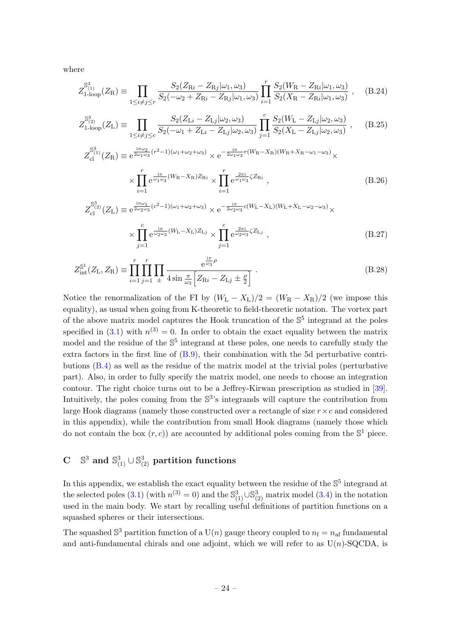where

$$
Z_{1\text{-loop}}^{S_{(1)}^3}(Z_{\rm R}) \equiv \prod_{1 \le i \ne j \le r} \frac{S_2(Z_{\rm R} - Z_{\rm R} - Z_{\rm R} - Z_{\rm R} - Z_{\rm R} - Z_{\rm R} - Z_{\rm R} - Z_{\rm R} - Z_{\rm R} - Z_{\rm R} - Z_{\rm R} - Z_{\rm R} - Z_{\rm R} - Z_{\rm R} - Z_{\rm R} - Z_{\rm R} - Z_{\rm R} - Z_{\rm R} - Z_{\rm R} - Z_{\rm R} - Z_{\rm R} - Z_{\rm R} - Z_{\rm R} - Z_{\rm R} - Z_{\rm R} - Z_{\rm R} - Z_{\rm R} - Z_{\rm R} - Z_{\rm R} - Z_{\rm R} - Z_{\rm R} - Z_{\rm R} - Z_{\rm R} - Z_{\rm R} - Z_{\rm R} - Z_{\rm R} - Z_{\rm R} - Z_{\rm R} - Z_{\rm R} - Z_{\rm R} - Z_{\rm R} - Z_{\rm R} - Z_{\rm R} - Z_{\rm R} - Z_{\rm R} - Z_{\rm R} - Z_{\rm R} - Z_{\rm R} - Z_{\rm R} - Z_{\rm R} - Z_{\rm R} - Z_{\rm R} - Z_{\rm R} - Z_{\rm R} - Z_{\rm R} - Z_{\rm R} - Z_{\rm R} - Z_{\rm R} - Z_{\rm R} - Z_{\rm R} - Z_{\rm R} - Z_{\rm R} - Z_{\rm R} - Z_{\rm R} - Z_{\rm R} - Z_{\rm R} - Z_{\rm R} - Z_{\rm R} - Z_{\rm R} - Z_{\rm R} - Z_{\rm R} - Z_{\rm R} - Z_{\rm R} - Z_{\rm R} - Z_{\rm R} - Z_{\rm R} - Z_{\rm R} - Z_{\rm R} - Z_{\rm R} - Z_{\rm R} - Z_{\rm R} - Z_{\rm R} - Z_{\rm R} - Z_{\rm R} - Z_{\rm R} - Z_{\rm R} - Z_{\rm R} - Z_{\rm R} - Z_{\rm R} - Z_{\rm R} - Z_{\rm R} - Z_{\rm R} - Z_{\rm R} - Z_{\rm R} - Z_{\rm R} - Z_{\rm R} - Z_{\rm R} - Z_{\rm R} - Z_{\rm R} - Z_{\rm R} - Z_{\rm R} - Z_{\rm R} -
$$

$$
Z_{1\text{-loop}}^{S_{(2)}^3}(Z_{\text{L}}) \equiv \prod_{1 \le i \ne j \le c} \frac{S_2(Z_{\text{L}i} - Z_{\text{L}j}|\omega_2, \omega_3)}{S_2(-\omega_1 + Z_{\text{L}i} - Z_{\text{L}j}|\omega_2, \omega_3)} \prod_{j=1}^c \frac{S_2(W_{\text{L}} - Z_{\text{L}j}|\omega_2, \omega_3)}{S_2(X_{\text{L}} - Z_{\text{L}j}|\omega_2, \omega_3)}, \quad (B.25)
$$

$$
Z_{\text{cl}}^{\mathbb{S}_{(1)}^{3}}(Z_{\text{R}}) \equiv e^{\frac{i\pi\omega_{2}}{2\omega_{1}\omega_{3}}(r^{2}-1)(\omega_{1}+\omega_{2}+\omega_{3})} \times e^{-\frac{i\pi}{2\omega_{1}\omega_{3}}r(W_{\text{R}}-X_{\text{R}})(W_{\text{R}}+X_{\text{R}}-\omega_{1}-\omega_{3})} \times \prod_{i=1}^{r} e^{\frac{i\pi}{\omega_{1}\omega_{3}}(W_{\text{R}}-X_{\text{R}})Z_{\text{R}i}} \times \prod_{i=1}^{r} e^{\frac{2\pi i}{\omega_{1}\omega_{3}}\zeta Z_{\text{R}i}}, \qquad (B.26)
$$

$$
i=1 \qquad i=1
$$
  
\n
$$
Z_{\text{cl}}^{\text{S}^3}(Z_{\text{L}}) \equiv e^{\frac{i\pi\omega_1}{2\omega_2\omega_3}(c^2-1)(\omega_1+\omega_2+\omega_3)} \times e^{-\frac{i\pi}{2\omega_2\omega_3}c(W_{\text{L}}-X_{\text{L}})(W_{\text{L}}+X_{\text{L}}-\omega_2-\omega_3)} \times \times \prod_{j=1}^c e^{\frac{i\pi}{\omega_2\omega_3}(W_{\text{L}}-X_{\text{L}})Z_{\text{L}j}} \times \prod_{j=1}^c e^{\frac{2\pi i}{\omega_2\omega_3}\zeta Z_{\text{L}j}} ,
$$
\n(B.27)

$$
Z_{\text{int}}^{\mathbb{S}^1}(Z_{\text{L}}, Z_{\text{R}}) \equiv \prod_{i=1}^r \prod_{j=1}^r \prod_{\pm} \frac{e^{\frac{i\pi}{\omega_3}\rho}}{4\sin\frac{\pi}{\omega_3} \Big[Z_{\text{R}i} - Z_{\text{L}j} \pm \frac{\rho}{2}\Big]}.
$$
(B.28)

Notice the renormalization of the FI by  $(W_L - X_L)/2 = (W_R - X_R)/2$  (we impose this equality), as usual when going from K-theoretic to field-theoretic notation. The vortex part of the above matrix model captures the Hook truncation of the  $\mathbb{S}^5$  integrand at the poles specified in [\(3.1\)](#page-9-2) with  $n^{(3)} = 0$ . In order to obtain the exact equality between the matrix model and the residue of the  $\mathbb{S}^5$  integrand at these poles, one needs to carefully study the extra factors in the first line of  $(B.9)$ , their combination with the 5d perturbative contributions [\(B.4\)](#page-21-1) as well as the residue of the matrix model at the trivial poles (perturbative part). Also, in order to fully specify the matrix model, one needs to choose an integration contour. The right choice turns out to be a Jeffrey-Kirwan prescription as studied in [\[39\]](#page-31-14). Intuitively, the poles coming from the  $\mathbb{S}^3$ 's integrands will capture the contribution from large Hook diagrams (namely those constructed over a rectangle of size  $r \times c$  and considered in this appendix), while the contribution from small Hook diagrams (namely those which do not contain the box  $(r, c)$  are accounted by additional poles coming from the  $\mathbb{S}^1$  piece.

#### <span id="page-24-0"></span> $\mathbf C$  $^3$  and  $\mathbb{S}^3_{(1)}\cup\mathbb{S}^3_{(2)}$  partition functions

In this appendix, we establish the exact equality between the residue of the  $\mathbb{S}^5$  integrand at the selected poles [\(3.1\)](#page-9-2) (with  $n^{(3)} = 0$ ) and the  $\mathbb{S}_{(1)}^3 \cup \mathbb{S}_{(2)}^3$  matrix model [\(3.4\)](#page-11-1) in the notation used in the main body. We start by recalling useful definitions of partition functions on a squashed spheres or their intersections.

The squashed  $\mathbb{S}^3$  partition function of a  $U(n)$  gauge theory coupled to  $n_f = n_{af}$  fundamental and anti-fundamental chirals and one adjoint, which we will refer to as  $U(n)$ -SQCDA, is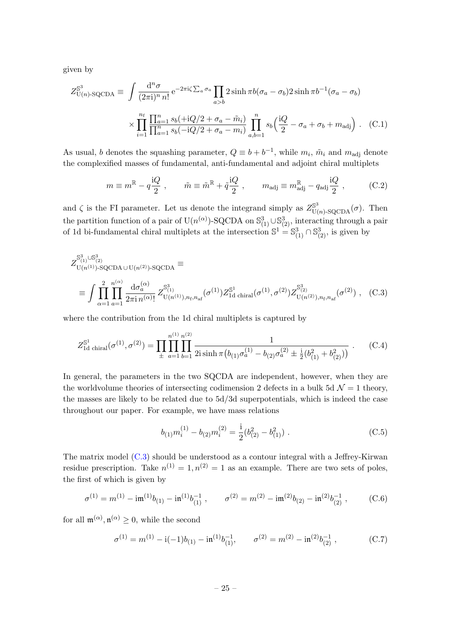given by

$$
Z_{U(n)\text{-}SQCDA}^{\mathbb{S}^3} \equiv \int \frac{d^n \sigma}{(2\pi i)^n n!} e^{-2\pi i \zeta \sum_a \sigma_a} \prod_{a>b} 2 \sinh \pi b (\sigma_a - \sigma_b) 2 \sinh \pi b^{-1} (\sigma_a - \sigma_b)
$$

$$
\times \prod_{i=1}^{n_f} \frac{\prod_{a=1}^n s_b (+iQ/2 + \sigma_a - \tilde{m}_i)}{\prod_{a=1}^n s_b (-iQ/2 + \sigma_a - m_i)} \prod_{a,b=1}^n s_b \left(\frac{iQ}{2} - \sigma_a + \sigma_b + m_{\text{adj}}\right). \quad (C.1)
$$

As usual, b denotes the squashing parameter,  $Q \equiv b + b^{-1}$ , while  $m_i$ ,  $\tilde{m}_i$  and  $m_{\text{adj}}$  denote the complexified masses of fundamental, anti-fundamental and adjoint chiral multiplets

$$
m \equiv m^{\mathbb{R}} - q \frac{\mathrm{i} Q}{2} , \qquad \tilde{m} \equiv \tilde{m}^{\mathbb{R}} + \tilde{q} \frac{\mathrm{i} Q}{2} , \qquad m_{\text{adj}} \equiv m_{\text{adj}}^{\mathbb{R}} - q_{\text{adj}} \frac{\mathrm{i} Q}{2} , \qquad (C.2)
$$

and  $\zeta$  is the FI parameter. Let us denote the integrand simply as  $Z_{\text{U}(n)-\text{SQCDA}}^{\mathbb{S}^3}(\sigma)$ . Then the partition function of a pair of U(n<sup>( $\alpha$ )</sup>)-SQCDA on  $\mathbb{S}^3_{(1)} \cup \mathbb{S}^3_{(2)}$ , interacting through a pair of 1d bi-fundamental chiral multiplets at the intersection  $\mathbb{S}^1 = \mathbb{S}^3_{(1)} \cap \mathbb{S}^3_{(2)}$ , is given by

$$
Z_{U(n^{(1)})\text{-}SQCDA\cup U(n^{(2)})\text{-}SQCDA}^{S_{(1)}^3 \cup S_{(2)}^3} \equiv \int \prod_{\alpha=1}^2 \prod_{a=1}^{n^{(\alpha)}} \frac{\mathrm{d}\sigma_a^{(\alpha)}}{2\pi \mathrm{i} \, n^{(\alpha)}} Z_{U(n^{(1)}), n_{\text{f}}, n_{\text{af}}}^{S^3}(\sigma^{(1)}) Z_{1d \text{ chiral}}^{S^1}(\sigma^{(1)}, \sigma^{(2)}) Z_{U(n^{(2)}), n_{\text{f}}, n_{\text{af}}}^{S^3}(\sigma^{(2)}) , \quad (C.3)
$$

where the contribution from the 1d chiral multiplets is captured by

$$
Z_{\rm 1d\ chiral}^{\mathbb{S}^1}(\sigma^{(1)},\sigma^{(2)}) = \prod_{\pm} \prod_{a=1}^{n^{(1)}} \prod_{b=1}^{n^{(2)}} \frac{1}{2i \sinh \pi (b_{(1)}\sigma_a^{(1)} - b_{(2)}\sigma_a^{(2)} \pm \frac{i}{2}(b_{(1)}^2 + b_{(2)}^2))} \ . \tag{C.4}
$$

In general, the parameters in the two SQCDA are independent, however, when they are the worldvolume theories of intersecting codimension 2 defects in a bulk 5d  $\mathcal{N}=1$  theory, the masses are likely to be related due to 5d/3d superpotentials, which is indeed the case throughout our paper. For example, we have mass relations

<span id="page-25-0"></span>
$$
b_{(1)}m_i^{(1)} - b_{(2)}m_i^{(2)} = \frac{1}{2}(b_{(2)}^2 - b_{(1)}^2) \tag{C.5}
$$

The matrix model [\(C.3\)](#page-25-0) should be understood as a contour integral with a Jeffrey-Kirwan residue prescription. Take  $n^{(1)} = 1, n^{(2)} = 1$  as an example. There are two sets of poles, the first of which is given by

$$
\sigma^{(1)} = m^{(1)} - \mathrm{i} \mathfrak{m}^{(1)} b_{(1)} - \mathrm{i} \mathfrak{n}^{(1)} b_{(1)}^{-1} , \qquad \sigma^{(2)} = m^{(2)} - \mathrm{i} \mathfrak{m}^{(2)} b_{(2)} - \mathrm{i} \mathfrak{n}^{(2)} b_{(2)}^{-1} , \qquad (C.6)
$$

for all  $\mathfrak{m}^{(\alpha)}$ ,  $\mathfrak{n}^{(\alpha)} \geq 0$ , while the second

$$
\sigma^{(1)} = m^{(1)} - i(-1)b_{(1)} - i\mathfrak{n}^{(1)}b_{(1)}^{-1}, \qquad \sigma^{(2)} = m^{(2)} - i\mathfrak{n}^{(2)}b_{(2)}^{-1}, \qquad (C.7)
$$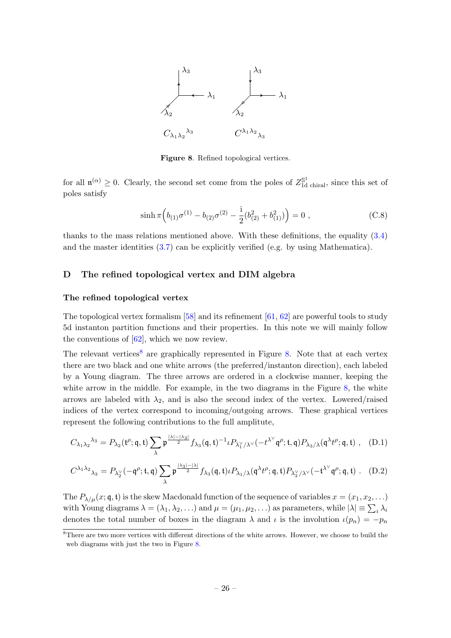

<span id="page-26-1"></span>Figure 8. Refined topological vertices.

for all  $\mathfrak{n}^{(\alpha)} \geq 0$ . Clearly, the second set come from the poles of  $Z_{\rm 1d\ chiral}^{\mathbb{S}^1}$ , since this set of poles satisfy

$$
\sinh \pi \left( b_{(1)} \sigma^{(1)} - b_{(2)} \sigma^{(2)} - \frac{i}{2} (b_{(2)}^2 + b_{(1)}^2) \right) = 0 , \qquad (C.8)
$$

thanks to the mass relations mentioned above. With these definitions, the equality [\(3.4\)](#page-11-1) and the master identities [\(3.7\)](#page-12-1) can be explicitly verified (e.g. by using Mathematica).

#### <span id="page-26-0"></span>D The refined topological vertex and DIM algebra

#### The refined topological vertex

The topological vertex formalism  $[58]$  and its refinement  $[61, 62]$  $[61, 62]$  $[61, 62]$  are powerful tools to study 5d instanton partition functions and their properties. In this note we will mainly follow the conventions of  $[62]$ , which we now review.

The relevant vertices<sup>[8](#page-0-0)</sup> are graphically represented in Figure [8.](#page-26-1) Note that at each vertex there are two black and one white arrows (the preferred/instanton direction), each labeled by a Young diagram. The three arrows are ordered in a clockwise manner, keeping the white arrow in the middle. For example, in the two diagrams in the Figure [8,](#page-26-1) the white arrows are labeled with  $\lambda_2$ , and is also the second index of the vertex. Lowered/raised indices of the vertex correspond to incoming/outgoing arrows. These graphical vertices represent the following contributions to the full amplitute,

$$
C_{\lambda_1\lambda_2}{}^{\lambda_3} = P_{\lambda_2}(\mathfrak{t}^\rho;\mathfrak{q},\mathfrak{t}) \sum_\lambda \mathfrak{p}^{\frac{|\lambda|-|\lambda_3|}{2}} f_{\lambda_3}(\mathfrak{q},\mathfrak{t})^{-1} \iota P_{\lambda_1^\vee/\lambda^\vee}(-t^{\lambda^\vee}\mathfrak{q}^\rho;\mathfrak{t},\mathfrak{q}) P_{\lambda_3/\lambda}(\mathfrak{q}^\lambda t^\rho;\mathfrak{q},\mathfrak{t})\ ,\quad \text{(D.1)}
$$

$$
C^{\lambda_1\lambda_2}{}_{\lambda_3} = P_{\lambda_2^{\vee}}(-\mathfrak{q}^{\rho};\mathfrak{t},\mathfrak{q}) \sum_{\lambda} \mathfrak{p}^{\frac{|\lambda_3|-|\lambda|}{2}} f_{\lambda_3}(\mathfrak{q},\mathfrak{t}) \iota P_{\lambda_1/\lambda}(\mathfrak{q}^{\lambda} t^{\rho};\mathfrak{q},\mathfrak{t}) P_{\lambda_3^{\vee}/\lambda^{\vee}}(-\mathfrak{t}^{\lambda^{\vee}}\mathfrak{q}^{\rho};\mathfrak{q},\mathfrak{t})
$$
 (D.2)

The  $P_{\lambda/\mu}(x; \mathfrak{q}, \mathfrak{t})$  is the skew Macdonald function of the sequence of variables  $x = (x_1, x_2, \ldots)$ with Young diagrams  $\lambda = (\lambda_1, \lambda_2, \ldots)$  and  $\mu = (\mu_1, \mu_2, \ldots)$  as parameters, while  $|\lambda| \equiv \sum_i \lambda_i$ denotes the total number of boxes in the diagram  $\lambda$  and  $\iota$  is the involution  $\iota(p_n) = -p_n$ 

 $\overline{\text{B}}$ There are two more vertices with different directions of the white arrows. However, we choose to build the web diagrams with just the two in Figure [8.](#page-26-1)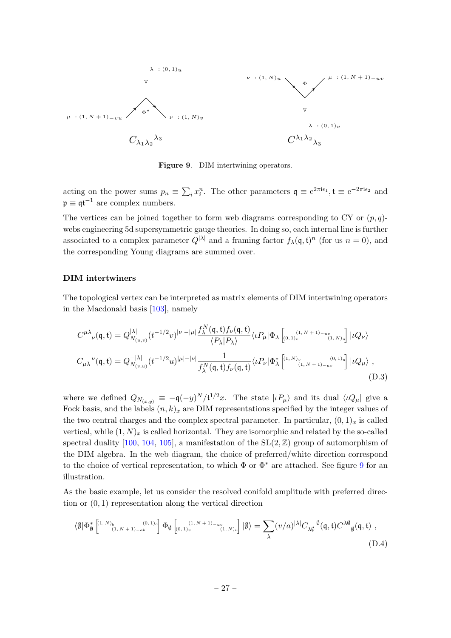

<span id="page-27-0"></span>Figure 9. DIM intertwining operators.

acting on the power sums  $p_n \equiv \sum_i x_i^n$ . The other parameters  $\mathfrak{q} \equiv e^{2\pi i \epsilon_1}$ ,  $\mathfrak{t} \equiv e^{-2\pi i \epsilon_2}$  and  $\mathfrak{p} \equiv \mathfrak{q} \mathfrak{t}^{-1}$  are complex numbers.

The vertices can be joined together to form web diagrams corresponding to CY or  $(p, q)$ webs engineering 5d supersymmetric gauge theories. In doing so, each internal line is further associated to a complex parameter  $Q^{|\lambda|}$  and a framing factor  $f_{\lambda}(\mathfrak{q},\mathfrak{t})^n$  (for us  $n=0$ ), and the corresponding Young diagrams are summed over.

#### DIM intertwiners

The topological vertex can be interpreted as matrix elements of DIM intertwining operators in the Macdonald basis [\[103\]](#page-35-2), namely

$$
C^{\mu\lambda}_{\nu}(\mathbf{q}, \mathbf{t}) = Q_{N_{(u,v)}}^{|\lambda|} (t^{-1/2}v)^{|\nu| - |\mu|} \frac{f_{\lambda}^{N}(\mathbf{q}, \mathbf{t}) f_{\nu}(\mathbf{q}, \mathbf{t})}{\langle P_{\lambda} | P_{\lambda} \rangle} \langle \iota P_{\mu} | \Phi_{\lambda} \left[_{(0,1)_v}^{(1, N+1) - uv}_{(1, N)_u} \right] | \iota Q_{\nu} \rangle
$$
  

$$
C_{\mu\lambda}^{\nu}(\mathbf{q}, \mathbf{t}) = Q_{N_{(v,u)}}^{-|\lambda|} (t^{-1/2}u)^{|\mu| - |\nu|} \frac{1}{f_{\lambda}^{N}(\mathbf{q}, \mathbf{t}) f_{\nu}(\mathbf{q}, \mathbf{t})} \langle \iota P_{\nu} | \Phi_{\lambda}^{*} \left[^{(1, N)_v}_{(1, N+1) - uv} \right] | \iota Q_{\mu} \rangle , \tag{D.3}
$$

where we defined  $Q_{N_{(x,y)}} \equiv -\mathfrak{q}(-y)^N / \mathfrak{t}^{1/2}x$ . The state  $|\iota P_\mu\rangle$  and its dual  $\langle \iota Q_\mu |$  give a Fock basis, and the labels  $(n, k)_x$  are DIM representations specified by the integer values of the two central charges and the complex spectral parameter. In particular,  $(0, 1)_x$  is called vertical, while  $(1, N)_x$  is called horizontal. They are isomorphic and related by the so-called spectral duality [\[100,](#page-35-3) [104,](#page-35-4) [105\]](#page-35-5), a manifestation of the  $SL(2, \mathbb{Z})$  group of automorphism of the DIM algebra. In the web diagram, the choice of preferred/white direction correspond to the choice of vertical representation, to which  $\Phi$  or  $\Phi^*$  are attached. See figure [9](#page-27-0) for an illustration.

As the basic example, let us consider the resolved conifold amplitude with preferred direction or (0, 1) representation along the vertical direction

$$
\langle \emptyset | \Phi_{\emptyset}^* \left[ \begin{smallmatrix} (1,N)_{b} & (0,1)_{a} \\ (1,N+1)_{-ab} & (0,1)_{a} \end{smallmatrix} \right] \Phi_{\emptyset} \left[ \begin{smallmatrix} (1,N+1)_{-uv} \\ (0,1)_{v} & (1,N)_{u} \end{smallmatrix} \right] | \emptyset \rangle = \sum_{\lambda} (v/a)^{|\lambda|} C_{\lambda \emptyset} {\,}^{\emptyset}(\mathfrak{q},\mathfrak{t}) C^{\lambda \emptyset} {\,}^{\emptyset}(\mathfrak{q},\mathfrak{t}) ,
$$
\n(D.4)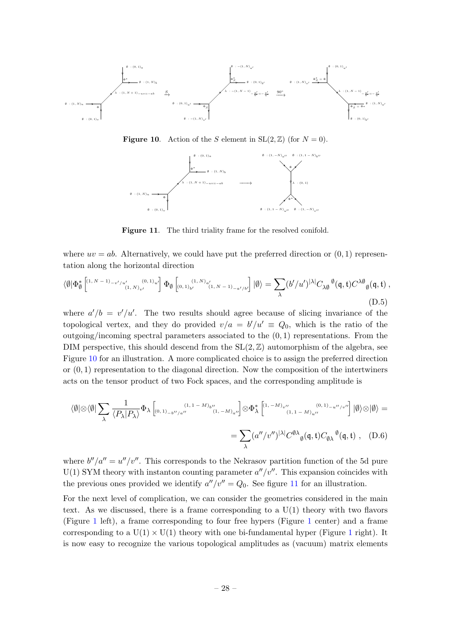

<span id="page-28-0"></span>**Figure 10.** Action of the S element in  $SL(2, \mathbb{Z})$  (for  $N = 0$ ).



<span id="page-28-1"></span>Figure 11. The third triality frame for the resolved conifold.

where  $uv = ab$ . Alternatively, we could have put the preferred direction or  $(0, 1)$  representation along the horizontal direction

$$
\langle \emptyset | \Phi_{\emptyset}^{*} \left[ {}^{(1, N-1)_{-v'/u'}} {}^{(0, 1)_{u'}} {}^{(0, 1)_{u'}} \right] \Phi_{\emptyset} \left[ {}_{(0, 1)_{b'}} {}^{(1, N)_{a'}} {}^{(1, N-1)_{-a'/b'}} \right] | \emptyset \rangle = \sum_{\lambda} (b'/u')^{|\lambda|} C_{\lambda \emptyset} {}^{\emptyset}(\mathfrak{q}, \mathfrak{t}) C^{\lambda \emptyset} {}_{\emptyset}(\mathfrak{q}, \mathfrak{t}) ,
$$
\n(D.5)

where  $a'/b = v'/u'$ . The two results should agree because of slicing invariance of the topological vertex, and they do provided  $v/a = b'/u' \equiv Q_0$ , which is the ratio of the outgoing/incoming spectral parameters associated to the  $(0, 1)$  representations. From the DIM perspective, this should descend from the  $SL(2, \mathbb{Z})$  automorphism of the algebra, see Figure [10](#page-28-0) for an illustration. A more complicated choice is to assign the preferred direction or  $(0, 1)$  representation to the diagonal direction. Now the composition of the intertwiners acts on the tensor product of two Fock spaces, and the corresponding amplitude is

$$
\langle \emptyset | \otimes \langle \emptyset | \sum_{\lambda} \frac{1}{\langle P_{\lambda} | P_{\lambda} \rangle} \Phi_{\lambda} \left[ \langle 0, 1 \rangle_{-b''/a''} \right]^{(1, 1 - M)_{b''}} \langle 1, -M \rangle_{a''} \rangle \otimes \Phi_{\lambda}^{*} \left[ \langle 1, -M \rangle_{v''} \right]^{(0, 1)} \langle 1, 1 - M \rangle_{u''} \langle 0, 1 \rangle_{a''} \rangle \langle \emptyset | \emptyset \rangle \otimes \langle \emptyset \rangle =
$$
  

$$
= \sum_{\lambda} (a''/v'')^{|\lambda|} C^{\emptyset \lambda}{}_{\emptyset}(\mathfrak{q}, \mathfrak{t}) C_{\emptyset \lambda}{}^{\emptyset}(\mathfrak{q}, \mathfrak{t}) , \quad (D.6)
$$

where  $b''/a'' = u''/v''$ . This corresponds to the Nekrasov partition function of the 5d pure  $U(1)$  SYM theory with instanton counting parameter  $a''/v''$ . This expansion coincides with the previous ones provided we identify  $a''/v'' = Q_0$ . See figure [11](#page-28-1) for an illustration.

For the next level of complication, we can consider the geometries considered in the main text. As we discussed, there is a frame corresponding to a U(1) theory with two flavors (Figure [1](#page-4-0) left), a frame corresponding to four free hypers (Figure [1](#page-4-0) center) and a frame corresponding to a  $U(1) \times U(1)$  $U(1) \times U(1)$  $U(1) \times U(1)$  theory with one bi-fundamental hyper (Figure 1 right). It is now easy to recognize the various topological amplitudes as (vacuum) matrix elements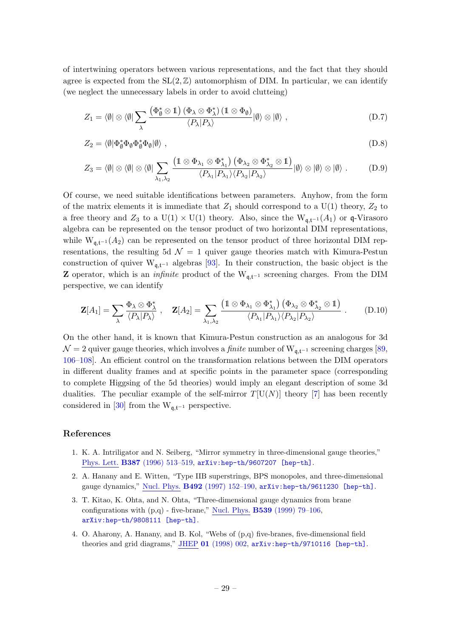of intertwining operators between various representations, and the fact that they should agree is expected from the  $SL(2, \mathbb{Z})$  automorphism of DIM. In particular, we can identify (we neglect the unnecessary labels in order to avoid clutteing)

$$
Z_1 = \langle \emptyset | \otimes \langle \emptyset | \sum_{\lambda} \frac{\left(\Phi_{\emptyset}^* \otimes 1\right) \left(\Phi_{\lambda} \otimes \Phi_{\lambda}^*\right) \left(1 \otimes \Phi_{\emptyset}\right)}{\langle P_{\lambda} | P_{\lambda} \rangle} | \emptyset \rangle \otimes | \emptyset \rangle , \qquad (D.7)
$$

$$
Z_2 = \langle \emptyset | \Phi_{\emptyset}^* \Phi_{\emptyset} \Phi_{\emptyset}^* \Phi_{\emptyset} | \emptyset \rangle , \qquad (D.8)
$$

$$
Z_3 = \langle \emptyset | \otimes \langle \emptyset | \otimes \langle \emptyset | \sum_{\lambda_1, \lambda_2} \frac{\left(1 \otimes \Phi_{\lambda_1} \otimes \Phi_{\lambda_1}^*\right)\left(\Phi_{\lambda_2} \otimes \Phi_{\lambda_2}^* \otimes 1\right)}{\langle P_{\lambda_1} | P_{\lambda_1} \rangle \langle P_{\lambda_2} | P_{\lambda_2} \rangle} | \emptyset \rangle \otimes | \emptyset \rangle \otimes | \emptyset \rangle. \tag{D.9}
$$

Of course, we need suitable identifications between parameters. Anyhow, from the form of the matrix elements it is immediate that  $Z_1$  should correspond to a U(1) theory,  $Z_2$  to a free theory and  $Z_3$  to a U(1) × U(1) theory. Also, since the W<sub>q,t</sub>-1(A<sub>1</sub>) or q-Virasoro algebra can be represented on the tensor product of two horizontal DIM representations, while  $W_{q,t^{-1}}(A_2)$  can be represented on the tensor product of three horizontal DIM representations, the resulting 5d  $\mathcal{N} = 1$  quiver gauge theories match with Kimura-Pestun construction of quiver  $W_{q,t-1}$  algebras [\[93\]](#page-34-5). In their construction, the basic object is the **Z** operator, which is an *infinite* product of the  $W_{q,t-1}$  screening charges. From the DIM perspective, we can identify

$$
\mathbf{Z}[A_1] = \sum_{\lambda} \frac{\Phi_{\lambda} \otimes \Phi_{\lambda}^*}{\langle P_{\lambda} | P_{\lambda} \rangle} , \quad \mathbf{Z}[A_2] = \sum_{\lambda_1, \lambda_2} \frac{\left(1 \otimes \Phi_{\lambda_1} \otimes \Phi_{\lambda_1}^*\right)\left(\Phi_{\lambda_2} \otimes \Phi_{\lambda_2}^* \otimes 1\right)}{\langle P_{\lambda_1} | P_{\lambda_1} \rangle \langle P_{\lambda_2} | P_{\lambda_2} \rangle} . \tag{D.10}
$$

On the other hand, it is known that Kimura-Pestun construction as an analogous for 3d  $\mathcal{N} = 2$  quiver gauge theories, which involves a *finite* number of W<sub>q,t<sup>-1</sup></sub> screening charges [\[89,](#page-34-6) [106–](#page-35-6)[108\]](#page-35-7). An efficient control on the transformation relations between the DIM operators in different duality frames and at specific points in the parameter space (corresponding to complete Higgsing of the 5d theories) would imply an elegant description of some 3d dualities. The peculiar example of the self-mirror  $T[U(N)]$  theory [\[7\]](#page-30-1) has been recently considered in [\[30\]](#page-31-6) from the  $W_{\mathfrak{q},\mathfrak{t}^{-1}}$  perspective.

#### References

- <span id="page-29-0"></span>1. K. A. Intriligator and N. Seiberg, "Mirror symmetry in three-dimensional gauge theories," Phys. Lett. B387 [\(1996\) 513–519,](http://dx.doi.org/10.1016/0370-2693(96)01088-X) [arXiv:hep-th/9607207 \[hep-th\]](http://arxiv.org/abs/hep-th/9607207).
- <span id="page-29-1"></span>2. A. Hanany and E. Witten, "Type IIB superstrings, BPS monopoles, and three-dimensional gauge dynamics," Nucl. Phys. B492 [\(1997\) 152–190,](http://dx.doi.org/10.1016/S0550-3213(97)00157-0, 10.1016/S0550-3213(97)80030-2) [arXiv:hep-th/9611230 \[hep-th\]](http://arxiv.org/abs/hep-th/9611230).
- 3. T. Kitao, K. Ohta, and N. Ohta, "Three-dimensional gauge dynamics from brane configurations with  $(p,q)$  - five-brane," Nucl. Phys. **B539** [\(1999\) 79–106,](http://dx.doi.org/10.1016/S0550-3213(98)00726-3) [arXiv:hep-th/9808111 \[hep-th\]](http://arxiv.org/abs/hep-th/9808111).
- <span id="page-29-2"></span>4. O. Aharony, A. Hanany, and B. Kol, "Webs of (p,q) five-branes, five-dimensional field theories and grid diagrams," JHEP 01 [\(1998\) 002,](http://dx.doi.org/10.1088/1126-6708/1998/01/002) [arXiv:hep-th/9710116 \[hep-th\]](http://arxiv.org/abs/hep-th/9710116).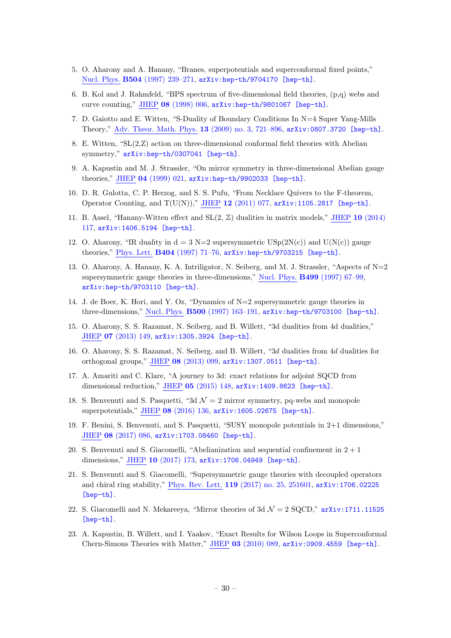- 5. O. Aharony and A. Hanany, "Branes, superpotentials and superconformal fixed points," Nucl. Phys. B504 [\(1997\) 239–271,](http://dx.doi.org/10.1016/S0550-3213(97)00472-0) [arXiv:hep-th/9704170 \[hep-th\]](http://arxiv.org/abs/hep-th/9704170).
- <span id="page-30-0"></span>6. B. Kol and J. Rahmfeld, "BPS spectrum of five-dimensional field theories, (p,q) webs and curve counting," JHEP 08 [\(1998\) 006,](http://dx.doi.org/10.1088/1126-6708/1998/08/006) [arXiv:hep-th/9801067 \[hep-th\]](http://arxiv.org/abs/hep-th/9801067).
- <span id="page-30-1"></span>7. D. Gaiotto and E. Witten, "S-Duality of Boundary Conditions In N=4 Super Yang-Mills Theory," Adv. Theor. Math. Phys. 13 [\(2009\) no. 3, 721–896,](http://dx.doi.org/10.4310/ATMP.2009.v13.n3.a5) [arXiv:0807.3720 \[hep-th\]](http://arxiv.org/abs/0807.3720).
- <span id="page-30-2"></span>8. E. Witten, "SL(2,Z) action on three-dimensional conformal field theories with Abelian symmetry," [arXiv:hep-th/0307041 \[hep-th\]](http://arxiv.org/abs/hep-th/0307041).
- <span id="page-30-3"></span>9. A. Kapustin and M. J. Strassler, "On mirror symmetry in three-dimensional Abelian gauge theories," JHEP 04 [\(1999\) 021,](http://dx.doi.org/10.1088/1126-6708/1999/04/021) [arXiv:hep-th/9902033 \[hep-th\]](http://arxiv.org/abs/hep-th/9902033).
- <span id="page-30-4"></span>10. D. R. Gulotta, C. P. Herzog, and S. S. Pufu, "From Necklace Quivers to the F-theorem, Operator Counting, and  $T(U(N))$ ," JHEP 12 [\(2011\) 077,](http://dx.doi.org/10.1007/JHEP12(2011)077) [arXiv:1105.2817 \[hep-th\]](http://arxiv.org/abs/1105.2817).
- <span id="page-30-5"></span>11. B. Assel, "Hanany-Witten effect and SL(2, Z) dualities in matrix models," JHEP 10 [\(2014\)](http://dx.doi.org/10.1007/JHEP10(2014)117) [117,](http://dx.doi.org/10.1007/JHEP10(2014)117) [arXiv:1406.5194 \[hep-th\]](http://arxiv.org/abs/1406.5194).
- <span id="page-30-6"></span>12. O. Aharony, "IR duality in  $d = 3$  N=2 supersymmetric USp(2N(c)) and U(N(c)) gauge theories," Phys. Lett. B404 [\(1997\) 71–76,](http://dx.doi.org/10.1016/S0370-2693(97)00530-3) [arXiv:hep-th/9703215 \[hep-th\]](http://arxiv.org/abs/hep-th/9703215).
- 13. O. Aharony, A. Hanany, K. A. Intriligator, N. Seiberg, and M. J. Strassler, "Aspects of N=2 supersymmetric gauge theories in three-dimensions," Nucl. Phys. B499 [\(1997\) 67–99,](http://dx.doi.org/10.1016/S0550-3213(97)00323-4) [arXiv:hep-th/9703110 \[hep-th\]](http://arxiv.org/abs/hep-th/9703110).
- <span id="page-30-7"></span>14. J. de Boer, K. Hori, and Y. Oz, "Dynamics of N=2 supersymmetric gauge theories in three-dimensions," Nucl. Phys. B500 [\(1997\) 163–191,](http://dx.doi.org/10.1016/S0550-3213(97)00328-3) [arXiv:hep-th/9703100 \[hep-th\]](http://arxiv.org/abs/hep-th/9703100).
- <span id="page-30-8"></span>15. O. Aharony, S. S. Razamat, N. Seiberg, and B. Willett, "3d dualities from 4d dualities," JHEP 07 [\(2013\) 149,](http://dx.doi.org/10.1007/JHEP07(2013)149) [arXiv:1305.3924 \[hep-th\]](http://arxiv.org/abs/1305.3924).
- 16. O. Aharony, S. S. Razamat, N. Seiberg, and B. Willett, "3d dualities from 4d dualities for orthogonal groups," JHEP 08 [\(2013\) 099,](http://dx.doi.org/10.1007/JHEP08(2013)099) [arXiv:1307.0511 \[hep-th\]](http://arxiv.org/abs/1307.0511).
- 17. A. Amariti and C. Klare, "A journey to 3d: exact relations for adjoint SQCD from dimensional reduction," JHEP 05 [\(2015\) 148,](http://dx.doi.org/10.1007/JHEP05(2015)148) [arXiv:1409.8623 \[hep-th\]](http://arxiv.org/abs/1409.8623).
- 18. S. Benvenuti and S. Pasquetti, "3d  $\mathcal{N}=2$  mirror symmetry, pq-webs and monopole superpotentials," JHEP 08 [\(2016\) 136,](http://dx.doi.org/10.1007/JHEP08(2016)136) [arXiv:1605.02675 \[hep-th\]](http://arxiv.org/abs/1605.02675).
- 19. F. Benini, S. Benvenuti, and S. Pasquetti, "SUSY monopole potentials in 2+1 dimensions," JHEP 08 [\(2017\) 086,](http://dx.doi.org/10.1007/JHEP08(2017)086) [arXiv:1703.08460 \[hep-th\]](http://arxiv.org/abs/1703.08460).
- <span id="page-30-11"></span>20. S. Benvenuti and S. Giacomelli, "Abelianization and sequential confinement in  $2 + 1$ dimensions," JHEP 10 [\(2017\) 173,](http://dx.doi.org/10.1007/JHEP10(2017)173) [arXiv:1706.04949 \[hep-th\]](http://arxiv.org/abs/1706.04949).
- <span id="page-30-12"></span>21. S. Benvenuti and S. Giacomelli, "Supersymmetric gauge theories with decoupled operators and chiral ring stability," Phys. Rev. Lett. 119 [\(2017\) no. 25, 251601,](http://dx.doi.org/10.1103/PhysRevLett.119.251601) [arXiv:1706.02225](http://arxiv.org/abs/1706.02225) [\[hep-th\]](http://arxiv.org/abs/1706.02225).
- <span id="page-30-9"></span>22. S. Giacomelli and N. Mekareeya, "Mirror theories of 3d  $\mathcal{N}=2$  SQCD," [arXiv:1711.11525](http://arxiv.org/abs/1711.11525) [\[hep-th\]](http://arxiv.org/abs/1711.11525).
- <span id="page-30-10"></span>23. A. Kapustin, B. Willett, and I. Yaakov, "Exact Results for Wilson Loops in Superconformal Chern-Simons Theories with Matter," JHEP 03 [\(2010\) 089,](http://dx.doi.org/10.1007/JHEP03(2010)089) [arXiv:0909.4559 \[hep-th\]](http://arxiv.org/abs/0909.4559).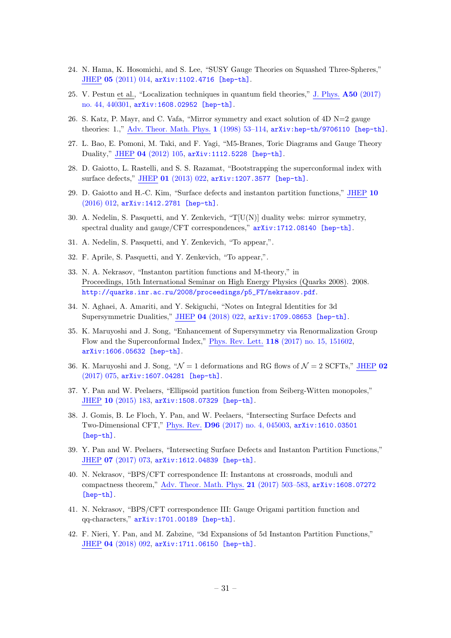- <span id="page-31-0"></span>24. N. Hama, K. Hosomichi, and S. Lee, "SUSY Gauge Theories on Squashed Three-Spheres," JHEP 05 [\(2011\) 014,](http://dx.doi.org/10.1007/JHEP05(2011)014) [arXiv:1102.4716 \[hep-th\]](http://arxiv.org/abs/1102.4716).
- <span id="page-31-1"></span>25. V. Pestun et al., "Localization techniques in quantum field theories," J. Phys. A50 [\(2017\)](http://dx.doi.org/10.1088/1751-8121/aa63c1) [no. 44, 440301,](http://dx.doi.org/10.1088/1751-8121/aa63c1) [arXiv:1608.02952 \[hep-th\]](http://arxiv.org/abs/1608.02952).
- <span id="page-31-2"></span>26. S. Katz, P. Mayr, and C. Vafa, "Mirror symmetry and exact solution of 4D N=2 gauge theories: 1.," Adv. Theor. Math. Phys. 1 [\(1998\) 53–114,](http://dx.doi.org/10.4310/ATMP.1997.v1.n1.a2) [arXiv:hep-th/9706110 \[hep-th\]](http://arxiv.org/abs/hep-th/9706110).
- <span id="page-31-3"></span>27. L. Bao, E. Pomoni, M. Taki, and F. Yagi, "M5-Branes, Toric Diagrams and Gauge Theory Duality," JHEP 04 [\(2012\) 105,](http://dx.doi.org/10.1007/JHEP04(2012)105) [arXiv:1112.5228 \[hep-th\]](http://arxiv.org/abs/1112.5228).
- <span id="page-31-4"></span>28. D. Gaiotto, L. Rastelli, and S. S. Razamat, "Bootstrapping the superconformal index with surface defects," JHEP 01 [\(2013\) 022,](http://dx.doi.org/10.1007/JHEP01(2013)022) [arXiv:1207.3577 \[hep-th\]](http://arxiv.org/abs/1207.3577).
- <span id="page-31-5"></span>29. D. Gaiotto and H.-C. Kim, "Surface defects and instanton partition functions," [JHEP](http://dx.doi.org/10.1007/JHEP10(2016)012) 10 [\(2016\) 012,](http://dx.doi.org/10.1007/JHEP10(2016)012) [arXiv:1412.2781 \[hep-th\]](http://arxiv.org/abs/1412.2781).
- <span id="page-31-6"></span>30. A. Nedelin, S. Pasquetti, and Y. Zenkevich, " $T[U(N)]$  duality webs: mirror symmetry, spectral duality and gauge/CFT correspondences,"  $arXiv:1712.08140$  [hep-th].
- 31. A. Nedelin, S. Pasquetti, and Y. Zenkevich, "To appear,".
- <span id="page-31-7"></span>32. F. Aprile, S. Pasquetti, and Y. Zenkevich, "To appear,".
- <span id="page-31-8"></span>33. N. A. Nekrasov, "Instanton partition functions and M-theory," in Proceedings, 15th International Seminar on High Energy Physics (Quarks 2008). 2008. [http://quarks.inr.ac.ru/2008/proceedings/p5\\_FT/nekrasov.pdf](http://quarks.inr.ac.ru/2008/proceedings/p5_FT/nekrasov.pdf).
- <span id="page-31-9"></span>34. N. Aghaei, A. Amariti, and Y. Sekiguchi, "Notes on Integral Identities for 3d Supersymmetric Dualities," JHEP 04 [\(2018\) 022,](http://dx.doi.org/10.1007/JHEP04(2018)022) [arXiv:1709.08653 \[hep-th\]](http://arxiv.org/abs/1709.08653).
- <span id="page-31-10"></span>35. K. Maruyoshi and J. Song, "Enhancement of Supersymmetry via Renormalization Group Flow and the Superconformal Index," Phys. Rev. Lett. 118 [\(2017\) no. 15, 151602,](http://dx.doi.org/10.1103/PhysRevLett.118.151602) [arXiv:1606.05632 \[hep-th\]](http://arxiv.org/abs/1606.05632).
- <span id="page-31-11"></span>36. K. Maruyoshi and J. Song, " $\mathcal{N} = 1$  deformations and RG flows of  $\mathcal{N} = 2$  SCFTs," [JHEP](http://dx.doi.org/10.1007/JHEP02(2017)075) 02 [\(2017\) 075,](http://dx.doi.org/10.1007/JHEP02(2017)075) [arXiv:1607.04281 \[hep-th\]](http://arxiv.org/abs/1607.04281).
- <span id="page-31-12"></span>37. Y. Pan and W. Peelaers, "Ellipsoid partition function from Seiberg-Witten monopoles," JHEP 10 [\(2015\) 183,](http://dx.doi.org/10.1007/JHEP10(2015)183) [arXiv:1508.07329 \[hep-th\]](http://arxiv.org/abs/1508.07329).
- <span id="page-31-13"></span>38. J. Gomis, B. Le Floch, Y. Pan, and W. Peelaers, "Intersecting Surface Defects and Two-Dimensional CFT," Phys. Rev. D96 [\(2017\) no. 4, 045003,](http://dx.doi.org/10.1103/PhysRevD.96.045003) [arXiv:1610.03501](http://arxiv.org/abs/1610.03501) [\[hep-th\]](http://arxiv.org/abs/1610.03501).
- <span id="page-31-14"></span>39. Y. Pan and W. Peelaers, "Intersecting Surface Defects and Instanton Partition Functions," JHEP 07 [\(2017\) 073,](http://dx.doi.org/10.1007/JHEP07(2017)073) [arXiv:1612.04839 \[hep-th\]](http://arxiv.org/abs/1612.04839).
- 40. N. Nekrasov, "BPS/CFT correspondence II: Instantons at crossroads, moduli and compactness theorem," Adv. Theor. Math. Phys. 21 [\(2017\) 503–583,](http://dx.doi.org/10.4310/ATMP.2017.v21.n2.a4) [arXiv:1608.07272](http://arxiv.org/abs/1608.07272) [\[hep-th\]](http://arxiv.org/abs/1608.07272).
- 41. N. Nekrasov, "BPS/CFT correspondence III: Gauge Origami partition function and qq-characters," [arXiv:1701.00189 \[hep-th\]](http://arxiv.org/abs/1701.00189).
- <span id="page-31-15"></span>42. F. Nieri, Y. Pan, and M. Zabzine, "3d Expansions of 5d Instanton Partition Functions," JHEP 04 [\(2018\) 092,](http://dx.doi.org/10.1007/JHEP04(2018)092) [arXiv:1711.06150 \[hep-th\]](http://arxiv.org/abs/1711.06150).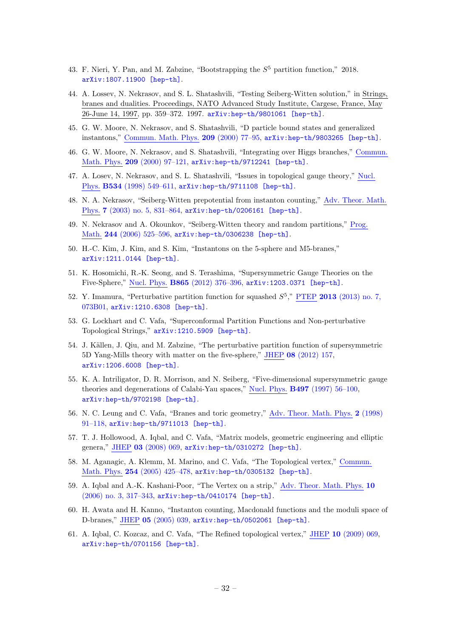- <span id="page-32-0"></span>43. F. Nieri, Y. Pan, and M. Zabzine, "Bootstrapping the  $S<sup>5</sup>$  partition function," 2018. [arXiv:1807.11900 \[hep-th\]](http://arxiv.org/abs/1807.11900).
- <span id="page-32-1"></span>44. A. Lossev, N. Nekrasov, and S. L. Shatashvili, "Testing Seiberg-Witten solution," in Strings, branes and dualities. Proceedings, NATO Advanced Study Institute, Cargese, France, May 26-June 14, 1997, pp. 359–372. 1997. [arXiv:hep-th/9801061 \[hep-th\]](http://arxiv.org/abs/hep-th/9801061).
- 45. G. W. Moore, N. Nekrasov, and S. Shatashvili, "D particle bound states and generalized instantons," Commun. Math. Phys. 209 [\(2000\) 77–95,](http://dx.doi.org/10.1007/s002200050016) [arXiv:hep-th/9803265 \[hep-th\]](http://arxiv.org/abs/hep-th/9803265).
- 46. G. W. Moore, N. Nekrasov, and S. Shatashvili, "Integrating over Higgs branches," [Commun.](http://dx.doi.org/10.1007/PL00005525) Math. Phys. 209 [\(2000\) 97–121,](http://dx.doi.org/10.1007/PL00005525) [arXiv:hep-th/9712241 \[hep-th\]](http://arxiv.org/abs/hep-th/9712241).
- 47. A. Losev, N. Nekrasov, and S. L. Shatashvili, "Issues in topological gauge theory," [Nucl.](http://dx.doi.org/10.1016/S0550-3213(98)00628-2) Phys. B534 [\(1998\) 549–611,](http://dx.doi.org/10.1016/S0550-3213(98)00628-2) [arXiv:hep-th/9711108 \[hep-th\]](http://arxiv.org/abs/hep-th/9711108).
- 48. N. A. Nekrasov, "Seiberg-Witten prepotential from instanton counting," Adv. [Theor.](http://dx.doi.org/10.4310/ATMP.2003.v7.n5.a4) Math. Phys. 7 [\(2003\) no. 5, 831–864,](http://dx.doi.org/10.4310/ATMP.2003.v7.n5.a4) [arXiv:hep-th/0206161 \[hep-th\]](http://arxiv.org/abs/hep-th/0206161).
- 49. N. Nekrasov and A. Okounkov, "Seiberg-Witten theory and random partitions," [Prog.](http://dx.doi.org/10.1007/0-8176-4467-9_15) Math. 244 [\(2006\) 525–596,](http://dx.doi.org/10.1007/0-8176-4467-9_15) [arXiv:hep-th/0306238 \[hep-th\]](http://arxiv.org/abs/hep-th/0306238).
- <span id="page-32-7"></span>50. H.-C. Kim, J. Kim, and S. Kim, "Instantons on the 5-sphere and M5-branes," [arXiv:1211.0144 \[hep-th\]](http://arxiv.org/abs/1211.0144).
- 51. K. Hosomichi, R.-K. Seong, and S. Terashima, "Supersymmetric Gauge Theories on the Five-Sphere," Nucl. Phys. B865 [\(2012\) 376–396,](http://dx.doi.org/10.1016/j.nuclphysb.2012.08.007) [arXiv:1203.0371 \[hep-th\]](http://arxiv.org/abs/1203.0371).
- 52. Y. Imamura, "Perturbative partition function for squashed  $S^5$ ," PTEP 2013 [\(2013\) no. 7,](http://dx.doi.org/10.1093/ptep/ptt044) [073B01,](http://dx.doi.org/10.1093/ptep/ptt044) [arXiv:1210.6308 \[hep-th\]](http://arxiv.org/abs/1210.6308).
- <span id="page-32-8"></span>53. G. Lockhart and C. Vafa, "Superconformal Partition Functions and Non-perturbative Topological Strings," [arXiv:1210.5909 \[hep-th\]](http://arxiv.org/abs/1210.5909).
- <span id="page-32-2"></span>54. J. Källen, J. Qiu, and M. Zabzine, "The perturbative partition function of supersymmetric 5D Yang-Mills theory with matter on the five-sphere," JHEP 08 [\(2012\) 157,](http://dx.doi.org/10.1007/JHEP08(2012)157) [arXiv:1206.6008 \[hep-th\]](http://arxiv.org/abs/1206.6008).
- <span id="page-32-3"></span>55. K. A. Intriligator, D. R. Morrison, and N. Seiberg, "Five-dimensional supersymmetric gauge theories and degenerations of Calabi-Yau spaces," Nucl. Phys. B497 [\(1997\) 56–100,](http://dx.doi.org/10.1016/S0550-3213(97)00279-4) [arXiv:hep-th/9702198 \[hep-th\]](http://arxiv.org/abs/hep-th/9702198).
- 56. N. C. Leung and C. Vafa, "Branes and toric geometry," Adv. [Theor.](http://dx.doi.org/10.4310/ATMP.1998.v2.n1.a4) Math. Phys. 2 (1998) [91–118,](http://dx.doi.org/10.4310/ATMP.1998.v2.n1.a4) [arXiv:hep-th/9711013 \[hep-th\]](http://arxiv.org/abs/hep-th/9711013).
- <span id="page-32-4"></span>57. T. J. Hollowood, A. Iqbal, and C. Vafa, "Matrix models, geometric engineering and elliptic genera," JHEP 03 [\(2008\) 069,](http://dx.doi.org/10.1088/1126-6708/2008/03/069) [arXiv:hep-th/0310272 \[hep-th\]](http://arxiv.org/abs/hep-th/0310272).
- <span id="page-32-5"></span>58. M. Aganagic, A. Klemm, M. Marino, and C. Vafa, "The Topological vertex," [Commun.](http://dx.doi.org/10.1007/s00220-004-1162-z) Math. Phys. 254 [\(2005\) 425–478,](http://dx.doi.org/10.1007/s00220-004-1162-z) [arXiv:hep-th/0305132 \[hep-th\]](http://arxiv.org/abs/hep-th/0305132).
- 59. A. Iqbal and A.-K. Kashani-Poor, "The Vertex on a strip," Adv. [Theor.](http://dx.doi.org/10.4310/ATMP.2006.v10.n3.a2) Math. Phys. 10 [\(2006\) no. 3, 317–343,](http://dx.doi.org/10.4310/ATMP.2006.v10.n3.a2) [arXiv:hep-th/0410174 \[hep-th\]](http://arxiv.org/abs/hep-th/0410174).
- 60. H. Awata and H. Kanno, "Instanton counting, Macdonald functions and the moduli space of D-branes," JHEP 05 [\(2005\) 039,](http://dx.doi.org/10.1088/1126-6708/2005/05/039) [arXiv:hep-th/0502061 \[hep-th\]](http://arxiv.org/abs/hep-th/0502061).
- <span id="page-32-6"></span>61. A. Iqbal, C. Kozcaz, and C. Vafa, "The Refined topological vertex," JHEP 10 [\(2009\) 069,](http://dx.doi.org/10.1088/1126-6708/2009/10/069) [arXiv:hep-th/0701156 \[hep-th\]](http://arxiv.org/abs/hep-th/0701156).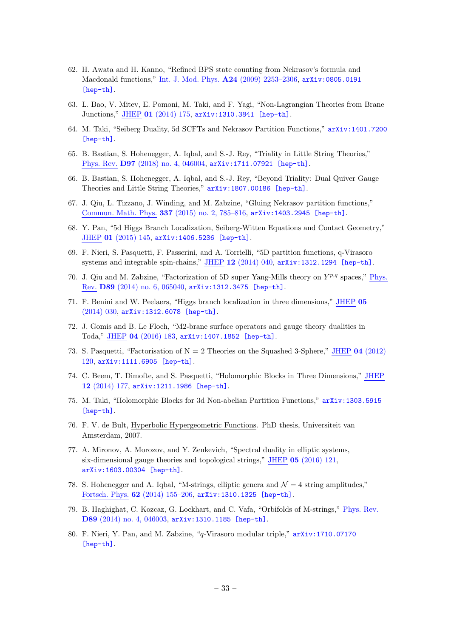- <span id="page-33-0"></span>62. H. Awata and H. Kanno, "Refined BPS state counting from Nekrasov's formula and Macdonald functions," Int. J. Mod. Phys. A24 [\(2009\) 2253–2306,](http://dx.doi.org/10.1142/S0217751X09043006) [arXiv:0805.0191](http://arxiv.org/abs/0805.0191) [\[hep-th\]](http://arxiv.org/abs/0805.0191).
- <span id="page-33-1"></span>63. L. Bao, V. Mitev, E. Pomoni, M. Taki, and F. Yagi, "Non-Lagrangian Theories from Brane Junctions," JHEP 01 [\(2014\) 175,](http://dx.doi.org/10.1007/JHEP01(2014)175) [arXiv:1310.3841 \[hep-th\]](http://arxiv.org/abs/1310.3841).
- <span id="page-33-2"></span>64. M. Taki, "Seiberg Duality, 5d SCFTs and Nekrasov Partition Functions," [arXiv:1401.7200](http://arxiv.org/abs/1401.7200) [\[hep-th\]](http://arxiv.org/abs/1401.7200).
- <span id="page-33-3"></span>65. B. Bastian, S. Hohenegger, A. Iqbal, and S.-J. Rey, "Triality in Little String Theories," Phys. Rev. D97 [\(2018\) no. 4, 046004,](http://dx.doi.org/10.1103/PhysRevD.97.046004) [arXiv:1711.07921 \[hep-th\]](http://arxiv.org/abs/1711.07921).
- <span id="page-33-4"></span>66. B. Bastian, S. Hohenegger, A. Iqbal, and S.-J. Rey, "Beyond Triality: Dual Quiver Gauge Theories and Little String Theories," [arXiv:1807.00186 \[hep-th\]](http://arxiv.org/abs/1807.00186).
- <span id="page-33-5"></span>67. J. Qiu, L. Tizzano, J. Winding, and M. Zabzine, "Gluing Nekrasov partition functions," Commun. Math. Phys. 337 [\(2015\) no. 2, 785–816,](http://dx.doi.org/10.1007/s00220-015-2351-7) [arXiv:1403.2945 \[hep-th\]](http://arxiv.org/abs/1403.2945).
- <span id="page-33-6"></span>68. Y. Pan, "5d Higgs Branch Localization, Seiberg-Witten Equations and Contact Geometry," JHEP 01 [\(2015\) 145,](http://dx.doi.org/10.1007/JHEP01(2015)145) [arXiv:1406.5236 \[hep-th\]](http://arxiv.org/abs/1406.5236).
- <span id="page-33-7"></span>69. F. Nieri, S. Pasquetti, F. Passerini, and A. Torrielli, "5D partition functions, q-Virasoro systems and integrable spin-chains," JHEP 12 [\(2014\) 040,](http://dx.doi.org/10.1007/JHEP12(2014)040) [arXiv:1312.1294 \[hep-th\]](http://arxiv.org/abs/1312.1294).
- <span id="page-33-8"></span>70. J. Qiu and M. Zabzine, "Factorization of 5D super Yang-Mills theory on  $Y^{p,q}$  spaces," [Phys.](http://dx.doi.org/10.1103/PhysRevD.89.065040) Rev. D89 [\(2014\) no. 6, 065040,](http://dx.doi.org/10.1103/PhysRevD.89.065040) [arXiv:1312.3475 \[hep-th\]](http://arxiv.org/abs/1312.3475).
- <span id="page-33-9"></span>71. F. Benini and W. Peelaers, "Higgs branch localization in three dimensions," [JHEP](http://dx.doi.org/10.1007/JHEP05(2014)030) 05 [\(2014\) 030,](http://dx.doi.org/10.1007/JHEP05(2014)030) [arXiv:1312.6078 \[hep-th\]](http://arxiv.org/abs/1312.6078).
- <span id="page-33-10"></span>72. J. Gomis and B. Le Floch, "M2-brane surface operators and gauge theory dualities in Toda," JHEP 04 [\(2016\) 183,](http://dx.doi.org/10.1007/JHEP04(2016)183) [arXiv:1407.1852 \[hep-th\]](http://arxiv.org/abs/1407.1852).
- <span id="page-33-11"></span>73. S. Pasquetti, "Factorisation of  $N = 2$  Theories on the Squashed 3-Sphere," JHEP 04 [\(2012\)](http://dx.doi.org/10.1007/JHEP04(2012)120) [120,](http://dx.doi.org/10.1007/JHEP04(2012)120) [arXiv:1111.6905 \[hep-th\]](http://arxiv.org/abs/1111.6905).
- <span id="page-33-18"></span>74. C. Beem, T. Dimofte, and S. Pasquetti, "Holomorphic Blocks in Three Dimensions," [JHEP](http://dx.doi.org/10.1007/JHEP12(2014)177) 12 [\(2014\) 177,](http://dx.doi.org/10.1007/JHEP12(2014)177) [arXiv:1211.1986 \[hep-th\]](http://arxiv.org/abs/1211.1986).
- <span id="page-33-12"></span>75. M. Taki, "Holomorphic Blocks for 3d Non-abelian Partition Functions," [arXiv:1303.5915](http://arxiv.org/abs/1303.5915) [\[hep-th\]](http://arxiv.org/abs/1303.5915).
- <span id="page-33-13"></span>76. F. V. de Bult, Hyperbolic Hypergeometric Functions. PhD thesis, Universiteit van Amsterdam, 2007.
- <span id="page-33-14"></span>77. A. Mironov, A. Morozov, and Y. Zenkevich, "Spectral duality in elliptic systems, six-dimensional gauge theories and topological strings," JHEP 05 [\(2016\) 121,](http://dx.doi.org/10.1007/JHEP05(2016)121) [arXiv:1603.00304 \[hep-th\]](http://arxiv.org/abs/1603.00304).
- <span id="page-33-15"></span>78. S. Hohenegger and A. Iqbal, "M-strings, elliptic genera and  $\mathcal{N}=4$  string amplitudes," Fortsch. Phys. 62 [\(2014\) 155–206,](http://dx.doi.org/10.1002/prop.201300035) [arXiv:1310.1325 \[hep-th\]](http://arxiv.org/abs/1310.1325).
- <span id="page-33-16"></span>79. B. Haghighat, C. Kozcaz, G. Lockhart, and C. Vafa, "Orbifolds of M-strings," [Phys.](http://dx.doi.org/10.1103/PhysRevD.89.046003) Rev. D89 [\(2014\) no. 4, 046003,](http://dx.doi.org/10.1103/PhysRevD.89.046003) [arXiv:1310.1185 \[hep-th\]](http://arxiv.org/abs/1310.1185).
- <span id="page-33-17"></span>80. F. Nieri, Y. Pan, and M. Zabzine, "q-Virasoro modular triple," [arXiv:1710.07170](http://arxiv.org/abs/1710.07170) [\[hep-th\]](http://arxiv.org/abs/1710.07170).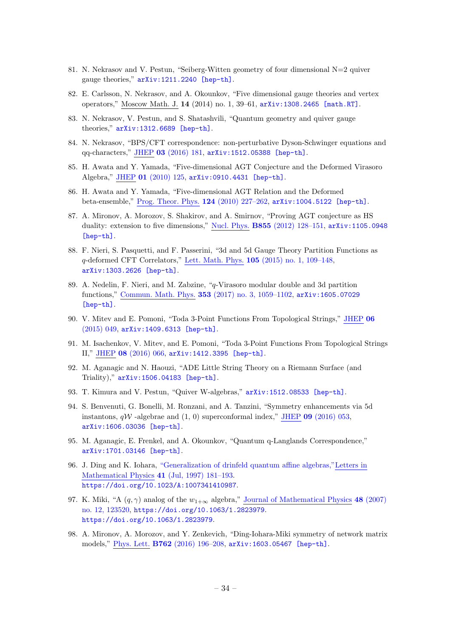- <span id="page-34-0"></span>81. N. Nekrasov and V. Pestun, "Seiberg-Witten geometry of four dimensional N=2 quiver gauge theories," [arXiv:1211.2240 \[hep-th\]](http://arxiv.org/abs/1211.2240).
- 82. E. Carlsson, N. Nekrasov, and A. Okounkov, "Five dimensional gauge theories and vertex operators," Moscow Math. J. 14 (2014) no. 1, 39–61, [arXiv:1308.2465 \[math.RT\]](http://arxiv.org/abs/1308.2465).
- 83. N. Nekrasov, V. Pestun, and S. Shatashvili, "Quantum geometry and quiver gauge theories," [arXiv:1312.6689 \[hep-th\]](http://arxiv.org/abs/1312.6689).
- 84. N. Nekrasov, "BPS/CFT correspondence: non-perturbative Dyson-Schwinger equations and qq-characters," JHEP 03 [\(2016\) 181,](http://dx.doi.org/10.1007/JHEP03(2016)181) [arXiv:1512.05388 \[hep-th\]](http://arxiv.org/abs/1512.05388).
- 85. H. Awata and Y. Yamada, "Five-dimensional AGT Conjecture and the Deformed Virasoro Algebra," JHEP 01 [\(2010\) 125,](http://dx.doi.org/10.1007/JHEP01(2010)125) [arXiv:0910.4431 \[hep-th\]](http://arxiv.org/abs/0910.4431).
- 86. H. Awata and Y. Yamada, "Five-dimensional AGT Relation and the Deformed beta-ensemble," Prog. Theor. Phys. 124 [\(2010\) 227–262,](http://dx.doi.org/10.1143/PTP.124.227) [arXiv:1004.5122 \[hep-th\]](http://arxiv.org/abs/1004.5122).
- 87. A. Mironov, A. Morozov, S. Shakirov, and A. Smirnov, "Proving AGT conjecture as HS duality: extension to five dimensions," Nucl. Phys. B855 [\(2012\) 128–151,](http://dx.doi.org/10.1016/j.nuclphysb.2011.09.021) [arXiv:1105.0948](http://arxiv.org/abs/1105.0948) [\[hep-th\]](http://arxiv.org/abs/1105.0948).
- 88. F. Nieri, S. Pasquetti, and F. Passerini, "3d and 5d Gauge Theory Partition Functions as q-deformed CFT Correlators," Lett. Math. Phys. 105 [\(2015\) no. 1, 109–148,](http://dx.doi.org/10.1007/s11005-014-0727-9) [arXiv:1303.2626 \[hep-th\]](http://arxiv.org/abs/1303.2626).
- <span id="page-34-6"></span>89. A. Nedelin, F. Nieri, and M. Zabzine, "q-Virasoro modular double and 3d partition functions," Commun. Math. Phys. 353 [\(2017\) no. 3, 1059–1102,](http://dx.doi.org/10.1007/s00220-017-2882-1) [arXiv:1605.07029](http://arxiv.org/abs/1605.07029) [\[hep-th\]](http://arxiv.org/abs/1605.07029).
- 90. V. Mitev and E. Pomoni, "Toda 3-Point Functions From Topological Strings," [JHEP](http://dx.doi.org/10.1007/JHEP06(2015)049) 06 [\(2015\) 049,](http://dx.doi.org/10.1007/JHEP06(2015)049) [arXiv:1409.6313 \[hep-th\]](http://arxiv.org/abs/1409.6313).
- 91. M. Isachenkov, V. Mitev, and E. Pomoni, "Toda 3-Point Functions From Topological Strings II," JHEP 08 [\(2016\) 066,](http://dx.doi.org/10.1007/JHEP08(2016)066) [arXiv:1412.3395 \[hep-th\]](http://arxiv.org/abs/1412.3395).
- 92. M. Aganagic and N. Haouzi, "ADE Little String Theory on a Riemann Surface (and Triality)," [arXiv:1506.04183 \[hep-th\]](http://arxiv.org/abs/1506.04183).
- <span id="page-34-5"></span>93. T. Kimura and V. Pestun, "Quiver W-algebras," [arXiv:1512.08533 \[hep-th\]](http://arxiv.org/abs/1512.08533).
- 94. S. Benvenuti, G. Bonelli, M. Ronzani, and A. Tanzini, "Symmetry enhancements via 5d instantons,  $qW$  -algebrae and  $(1, 0)$  superconformal index," JHEP 09 [\(2016\) 053,](http://dx.doi.org/10.1007/JHEP09(2016)053) [arXiv:1606.03036 \[hep-th\]](http://arxiv.org/abs/1606.03036).
- <span id="page-34-1"></span>95. M. Aganagic, E. Frenkel, and A. Okounkov, "Quantum q-Langlands Correspondence," [arXiv:1701.03146 \[hep-th\]](http://arxiv.org/abs/1701.03146).
- <span id="page-34-2"></span>96. J. Ding and K. Iohara, ["Generalization of drinfeld quantum affine algebras,"Letters](http://dx.doi.org/10.1023/A:1007341410987) in Mathematical Physics 41 [\(Jul, 1997\) 181–193.](http://dx.doi.org/10.1023/A:1007341410987) <https://doi.org/10.1023/A:1007341410987>.
- <span id="page-34-3"></span>97. K. Miki, "A  $(q, \gamma)$  analog of the  $w_{1+\infty}$  algebra," Journal of [Mathematical](http://dx.doi.org/10.1063/1.2823979) Physics 48 (2007) [no. 12, 123520,](http://dx.doi.org/10.1063/1.2823979) [https://doi.org/10.1063/1.2823979](http://arxiv.org/abs/https://doi.org/10.1063/1.2823979). <https://doi.org/10.1063/1.2823979>.
- <span id="page-34-4"></span>98. A. Mironov, A. Morozov, and Y. Zenkevich, "Ding-Iohara-Miki symmetry of network matrix models," Phys. Lett. B762 [\(2016\) 196–208,](http://dx.doi.org/10.1016/j.physletb.2016.09.033) [arXiv:1603.05467 \[hep-th\]](http://arxiv.org/abs/1603.05467).